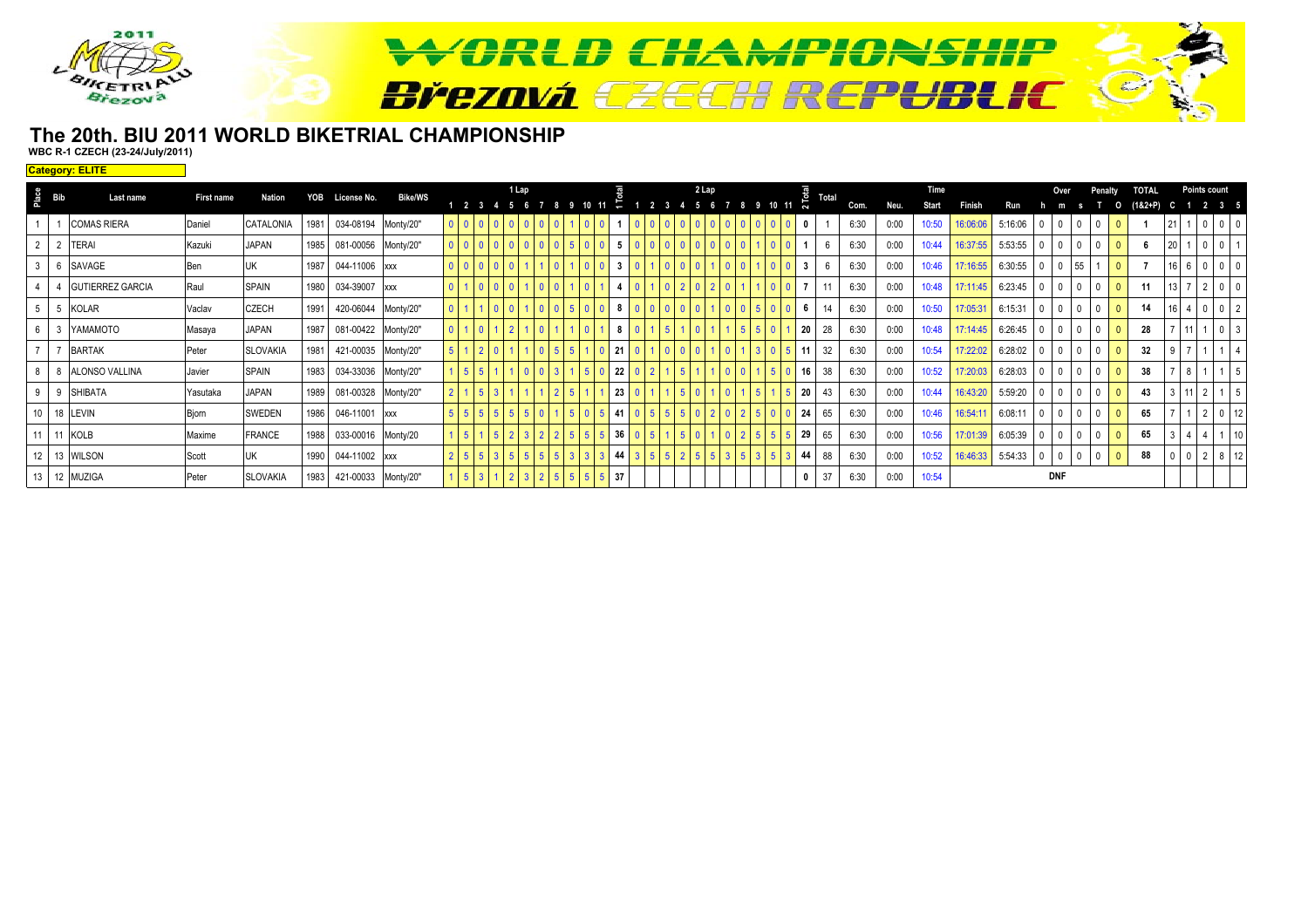

### **The 20th. BIU 2011 WORLD BIKETRIAL CHAMPIONSHIPWBC R-1 CZECH (23-24/July/2011)**

**Category: ELITE**

|                | $rac{e}{\sqrt{2}}$ Bib | Last name               | First name   | Nation          | YOB  | License No.         | <b>Bike/WS</b> |                |  | 1 Lap |  |  |     |  | 2 Lap |  |  | 룡            | Total |      |      | <b>Time</b> |          |         |              |    | Penalty | <b>TOTAL</b> |           | Points count                   |             |  |
|----------------|------------------------|-------------------------|--------------|-----------------|------|---------------------|----------------|----------------|--|-------|--|--|-----|--|-------|--|--|--------------|-------|------|------|-------------|----------|---------|--------------|----|---------|--------------|-----------|--------------------------------|-------------|--|
|                |                        |                         |              |                 |      |                     |                |                |  |       |  |  |     |  |       |  |  | ົ∼           |       | Com. | Neu. | Start       | Finish   | Run     |              |    |         | (1&2+P)      |           | 2 3 5                          |             |  |
|                |                        | <b>COMAS RIERA</b>      | Daniel       | CATALONIA       | 1981 | 034-08194 Monty/20" |                | 0 <sup>1</sup> |  |       |  |  |     |  |       |  |  |              |       | 6:30 | 0:00 | 10:50       | 16:06:06 | 5:16:06 | $\Omega$     |    |         |              |           | $0$ 0                          |             |  |
|                |                        | <b>TERAI</b>            | Kazuki       | <b>JAPAN</b>    | 1985 | 081-00056 Monty/20" |                | 0 <sup>1</sup> |  |       |  |  |     |  |       |  |  |              |       | 6:30 | 0:00 | 10:44       | 16:37:55 | 5:53:55 | $\mathbf{0}$ |    |         |              | <b>20</b> |                                |             |  |
| 3 <sup>1</sup> |                        | SAVAGE                  | Ben          |                 | 1987 | 044-11006 xxx       |                |                |  |       |  |  | - 3 |  |       |  |  | $\mathbf{3}$ |       | 6:30 | 0:00 | 10:46       | 17:16:55 | 6:30:55 | 0            | 55 |         |              |           | $16 \quad 6 \quad 0 \quad 0$   |             |  |
|                |                        | <b>GUTIERREZ GARCIA</b> | Raul         | <b>SPAIN</b>    | 1980 | 034-39007 xxx       |                | $\overline{0}$ |  |       |  |  |     |  |       |  |  |              |       | 6:30 | 0:00 | 10:48       | 17:11:45 | 6:23:45 | 0            |    |         | 11           | 13 I      | $2 0$                          |             |  |
| $5-1$          |                        | KOLAR                   | Vaclav       | <b>CZECH</b>    | 1991 | 420-06044 Monty/20" |                | $\overline{0}$ |  |       |  |  |     |  |       |  |  |              | 14    | 6:30 | 0:00 | 10:50       | 17:05:31 | 6:15:31 | $\Omega$     |    |         | 14           |           | 400                            |             |  |
|                |                        | YAMAMOTO                | Masaya       | <b>JAPAN</b>    | 1987 | 081-00422 Monty/20" |                | $\overline{0}$ |  |       |  |  |     |  |       |  |  | 20           | 28    | 6:30 | 0:00 | 10:48       | 17:14:45 | 6:26:45 | $\mathbf{0}$ |    |         | 28           |           | $\overline{0}$                 |             |  |
|                |                        | <b>BARTAK</b>           | Peter        | <b>SLOVAKIA</b> | 1981 | 421-00035 Monty/20" |                | 5 <sup>1</sup> |  |       |  |  | 121 |  |       |  |  | 11           | 32    | 6:30 | 0:00 | 10:54       | 17:22:02 | 6:28:02 | $\mathbf{0}$ |    |         | 32           |           |                                |             |  |
| 8              |                        | ALONSO VALLINA          | Javier       | <b>SPAIN</b>    | 1983 | 034-33036 Monty/20" |                |                |  |       |  |  | 22  |  |       |  |  | 16           | 38    | 6:30 | 0:00 | 10:52       | 17:20:03 | 6:28:03 | 0            |    |         | 38           |           |                                |             |  |
| 9              |                        | <b>SHIBATA</b>          | Yasutaka     | <b>JAPAN</b>    | 1989 | 081-00328 Monty/20" |                | 2 <sup>1</sup> |  |       |  |  | 23  |  |       |  |  | 20           | 43    | 6:30 | 0:00 | 10:44       | 16:43:20 | 5:59:20 | 0            | -0 |         | 43           |           | $3 \mid 11 \mid 2 \mid 1 \mid$ |             |  |
|                |                        | 10 18 LEVIN             | <b>Bjorn</b> | SWEDEN          | 1986 | 046-11001 xxx       |                | 5 <sup>1</sup> |  |       |  |  |     |  |       |  |  | 24           | 65    | 6:30 | 0:00 | 10:46       | 16:54:1' | 6:08:11 | $\theta$     |    |         | 65           |           |                                |             |  |
|                |                        | 11 11 KOLB              | Maxime       | <b>FRANCE</b>   | 1988 | 033-00016 Monty/20  |                |                |  |       |  |  | 36  |  |       |  |  | 29           | 65    | 6:30 | 0:00 | 10:56       | 17:01:39 | 6:05:39 | $\Omega$     |    |         | 65           |           |                                | $1 \mid 10$ |  |
|                |                        | 12 13 WILSON            | Scott        |                 | 1990 | 044-11002 xxx       |                | 2 <sup>1</sup> |  |       |  |  | 44  |  |       |  |  | 44           | 88    | 6:30 | 0:00 | 10:52       | 16:46:33 | 5:54:33 | $\mathbf{0}$ |    |         | 88           |           | $0 \t2 \t8 \t12$               |             |  |
|                |                        | 13 12 MUZIGA            | Peter        | <b>SLOVAKIA</b> | 1983 | 421-00033 Monty/20" |                |                |  |       |  |  | 37  |  |       |  |  |              | 37    | 6:30 | 0:00 | 10:54       |          |         | <b>DNF</b>   |    |         |              |           |                                |             |  |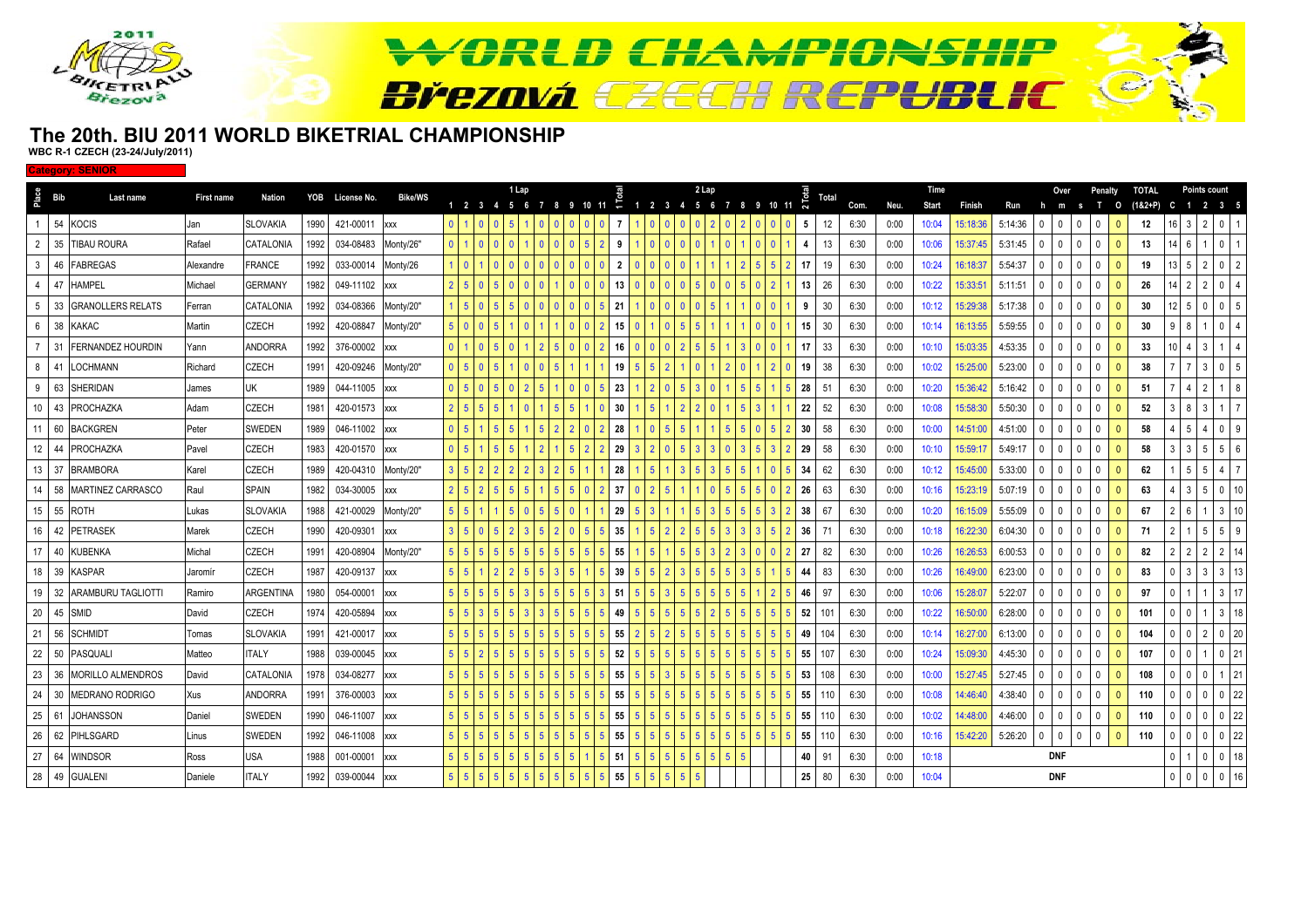

### **The 20th. BIU 2011 WORLD BIKETRIAL CHAMPIONSHIPWBC R-1 CZECH (23-24/July/2011)**

**Category: SENI** 

| Place           | Bib   | Last name                 | First name | Nation           |      | YOB License No.     | Bike/WS    |                |                | 1 Lap                    |   |                |         |                |       |                | 2 Lap        |                   |                        |                 | Total |      |              | Time           |                    |                |               | Over             |                          | Penalty        |                         | <b>TOTAL</b>      |    | <b>Points count</b> |                |    |
|-----------------|-------|---------------------------|------------|------------------|------|---------------------|------------|----------------|----------------|--------------------------|---|----------------|---------|----------------|-------|----------------|--------------|-------------------|------------------------|-----------------|-------|------|--------------|----------------|--------------------|----------------|---------------|------------------|--------------------------|----------------|-------------------------|-------------------|----|---------------------|----------------|----|
|                 | 54    | <b>KOCIS</b>              |            | <b>SLOVAKIA</b>  | 1990 | 421-00011           |            | $\overline{0}$ |                | 1 2 3 4 5 6              |   |                | 9 10 11 | $\div$<br>-7   | 1 2 3 | $\overline{4}$ | 5 6          | - 8<br>$2 \mid 0$ | 9 10 11 $\overline{N}$ | 5               | 12    | Com. | Neu.<br>0:00 | Start<br>10:04 | Finish<br>15:18:36 | Run<br>5:14:36 | h<br>$\Omega$ | m<br>$\mathbf 0$ | <b>S</b><br>$\mathbf{0}$ | т<br>$\Omega$  | $\circ$<br>$\mathbf{0}$ | $(182 + P)$<br>12 |    | 2 3 5<br>2          | 0 <sub>1</sub> |    |
|                 |       |                           | Jan        |                  |      |                     | <b>XXX</b> |                |                | l 5                      |   |                |         |                |       |                |              |                   | I 0                    |                 |       | 6:30 |              |                |                    |                |               |                  |                          |                |                         |                   | -3 |                     |                |    |
| $\overline{2}$  | 35    | <b>TIBAU ROURA</b>        | Rafael     | CATALONIA        | 1992 | 034-08483           | Monty/26"  | $\overline{0}$ |                |                          |   | $\mathbf{0}$   |         | 9              |       |                |              |                   |                        |                 | 13    | 6:30 | 0:00         | 10:06          | 15:37:45           | 5:31:45        | 0             | $\mathbf 0$      | $\mathbf 0$              | $\mathbf{0}$   | $\mathbf{0}$            | 13                |    |                     |                |    |
| 3               |       | 46 FABREGAS               | Alexandre  | <b>FRANCE</b>    | 1992 | 033-00014           | Monty/26   |                |                | I 0<br>$\mathbf{0}$      |   | $\mathbf{0}$   |         | $\overline{2}$ |       |                |              |                   |                        | 17              | 19    | 6:30 | 0:00         | 10:24          | 16:18:37           | 5:54:37        | $\Omega$      | $\mathbf 0$      | 0                        | $\mathbf{0}$   | $\mathbf{0}$            | 19                |    |                     |                |    |
| $\overline{4}$  | 47    | <b>HAMPEL</b>             | Michael    | <b>GERMANY</b>   | 1982 | 049-11102           | <b>XXX</b> |                |                |                          |   |                |         | 13             |       |                |              |                   |                        | 13              | 26    | 6:30 | 0:00         | 10:22          | 15:33:51           | 5:11:51        |               | $\mathbf{0}$     | 0                        | 0              | 0                       | 26                |    |                     |                |    |
| 5               | 33    | <b>GRANOLLERS RELATS</b>  | Ferran     | CATALONIA        | 1992 | 034-08366           | Monty/20"  |                |                |                          |   |                |         | 21             |       |                |              |                   |                        | -9              | 30    | 6:30 | 0:00         | 10:12          | 15:29:38           | 5:17:38        |               | $\mathbf 0$      | 0                        | $\Omega$       | $\mathbf{0}$            | 30                |    |                     |                |    |
| 6 <sup>1</sup>  | 38    | <b>KAKAC</b>              | Martin     | <b>CZECH</b>     | 1992 | 420-08847           | Monty/20"  |                |                |                          |   |                |         | 15             |       |                |              |                   |                        | 15              | 30    | 6:30 | 0:00         | 10:14          | 16:13:55           | 5:59:55        |               | $\mathbf{0}$     | $\mathbf 0$              | $\mathbf{0}$   | 0                       | 30                |    |                     |                |    |
|                 | 31    | <b>FERNANDEZ HOURDIN</b>  | Yann       | <b>ANDORRA</b>   | 1992 | 376-00002           | <b>XXX</b> | $\overline{0}$ |                |                          |   |                |         | 16             |       |                |              |                   |                        |                 | 33    | 6:30 | 0:00         | 10:10          | 15:03:35           | 4:53:35        |               | $\Omega$         | 0                        | $\Omega$       | 0                       | 33                |    |                     |                |    |
| 8               | 41    | LOCHMANN                  | Richard    | <b>CZECH</b>     | 1991 | 420-09246 Monty/20" |            | $\mathbf{0}$   |                |                          |   |                |         | 19             |       |                |              |                   |                        | 19              | 38    | 6:30 | 0:00         | 10:02          | 15:25:00           | 5:23:00        |               | $\mathbf 0$      | $\mathbf 0$              | $\mathbf 0$    | $\mathbf{0}$            | 38                |    |                     |                |    |
| 9               | 63    | SHERIDAN                  | James      | UK               | 1989 | 044-11005 xxx       |            | $\mathbf{0}$   |                | $\overline{\phantom{a}}$ |   |                |         | 23             |       |                | $\mathbf{3}$ | 5 <sup>1</sup>    |                        | 28              | 51    | 6:30 | 0:00         | 10:20          | 15:36:42           | 5:16:42        |               | $\mathbf{0}$     | $\mathbf 0$              | $\mathbf{0}$   | $\Omega$                | 51                |    |                     |                |    |
|                 |       | 10 43 PROCHAZKA           | Adam       | <b>CZECH</b>     | 1981 | 420-01573 xxx       |            |                |                |                          |   |                |         | 30             |       |                |              | $5 \mid 3$        |                        | 22              | 52    | 6:30 | 0:00         | 10:08          | 15:58:30           | 5:50:30        |               | $\mathbf{0}$     | $\mathbf 0$              | $\mathbf 0$    | $\mathbf{0}$            | 52                |    |                     |                |    |
| 11              | 60    | <b>BACKGREN</b>           | Peter      | <b>SWEDEN</b>    | 1989 | 046-11002 xxx       |            | $\overline{0}$ |                |                          |   |                |         | 28             |       |                |              |                   |                        | 30              | 58    | 6:30 | 0:00         | 10:00          | 14:51:00           | 4:51:00        |               | $\mathbf 0$      | $\mathbf 0$              | $\mathbf{0}$   |                         | 58                |    |                     |                |    |
|                 |       | 12 44 PROCHAZKA           | Pavel      | <b>CZECH</b>     | 1983 | 420-01570           | <b>XXX</b> | $\overline{0}$ |                |                          |   |                |         | 29             |       |                |              | 3 I               |                        | 29              | 58    | 6:30 | 0:00         | 10:10          | 15:59:17           | 5:49:17        | $\Omega$      | $\mathbf{0}$     | $\mathbf 0$              | $\mathbf{0}$   | $\mathbf{0}$            | 58                |    |                     |                |    |
|                 |       | 13 37 BRAMBORA            | Karel      | <b>CZECH</b>     | 1989 | 420-04310 Monty/20" |            |                |                |                          |   |                |         | 28             |       |                |              |                   |                        | 34              | 62    | 6:30 | 0:00         | 10:12          | 15:45:00           | 5:33:00        |               | $\mathbf{0}$     | $^{\circ}$               | 0              |                         | 62                |    |                     |                |    |
|                 |       | 14 58 MARTINEZ CARRASCO   | Raul       | <b>SPAIN</b>     | 1982 | 034-30005           | <b>XXX</b> | 2 <sub>1</sub> |                | $5\overline{5}$<br>l 5   |   |                |         | 37             |       |                |              | 5 <sub>1</sub>    |                        | 26              | 63    | 6:30 | 0:00         | 10:16          | 15:23:19           | 5:07:19        | $\Omega$      | $\mathbf 0$      | $\mathbf 0$              | $\overline{0}$ | $\mathbf{0}$            | 63                |    |                     |                |    |
|                 | 15 55 | <b>ROTH</b>               | Lukas      | <b>SLOVAKIA</b>  | 1988 | 421-00029           | Monty/20"  |                |                |                          |   |                |         | 29             |       |                |              |                   |                        | 38              | 67    | 6:30 | 0:00         | 10:20          | 16:15:09           | 5:55:09        |               | $\mathbf{0}$     | $\mathbf 0$              | $\Omega$       |                         | 67                |    |                     |                |    |
| 16 <sup>1</sup> |       | 42 PETRASEK               | Marek      | <b>CZECH</b>     | 1990 | 420-09301           | <b>XXX</b> | 3 <sup>1</sup> |                | $\mathbf{3}$             |   | $\overline{2}$ |         | 35             |       |                |              |                   |                        | 36              | 71    | 6:30 | 0:00         | 10:18          | 16:22:30           | 6:04:30        |               | $\mathbf{0}$     | 0                        | $\mathbf{0}$   | $\Omega$                | 71                |    |                     |                |    |
| 17 <sup>1</sup> | 40    | <b>KUBENKA</b>            | Michal     | <b>CZECH</b>     | 1991 | 420-08904           | Monty/20"  |                |                |                          |   |                |         | 55             |       |                |              |                   |                        | -27             | 82    | 6:30 | 0:00         | 10:26          | 16:26:53           | 6:00:53        |               | $\mathbf{0}$     | 0                        | $\Omega$       |                         | 82                |    |                     |                |    |
|                 | 18 39 | <b>KASPAR</b>             | Jaromír    | <b>CZECH</b>     | 1987 | 420-09137           | <b>XXX</b> | 5 <sup>1</sup> |                |                          | 5 | $\mathbf{3}$   |         | 39             |       |                |              |                   |                        | 44              | 83    | 6:30 | 0:00         | 10:26          | 16:49:00           | 6:23:00        |               | $\mathbf{0}$     | 0                        | $\Omega$       | $\mathbf{0}$            | 83                |    |                     |                |    |
|                 | 19 32 | <b>ARAMBURU TAGLIOTTI</b> | Ramiro     | <b>ARGENTINA</b> | 1980 | 054-00001           | <b>XXX</b> |                |                |                          |   |                |         | 51             |       |                |              |                   |                        | 46              | 97    | 6:30 | 0:00         | 10:06          | 15:28:07           | 5:22:07        |               | $\mathbf 0$      | $\mathbf 0$              | $\mathbf{0}$   | $\mathbf{0}$            | 97                |    |                     |                |    |
| 20              | 45    | <b>SMID</b>               | David      | <b>CZECH</b>     | 1974 | 420-05894           | <b>XXX</b> |                |                |                          |   |                |         | 49             |       |                |              |                   |                        | 52              | 101   | 6:30 | 0:00         | 10:22          | 16:50:00           | 6:28:00        |               | $\mathbf 0$      | 0                        | $\Omega$       | $\overline{0}$          | 101               |    |                     |                |    |
| 21              | 56    | <b>SCHMIDT</b>            | Tomas      | <b>SLOVAKIA</b>  | 1991 | 421-00017           | <b>XXX</b> |                |                | -5                       |   |                |         | 55             |       |                |              |                   |                        | 49              | 104   | 6:30 | 0:00         | 10:14          | 16:27:00           | 6:13:00        |               | $\mathbf{0}$     | $\mathbf 0$              | $\mathbf 0$    | $\mathbf{0}$            | 104               |    |                     |                |    |
| 22              | 50    | PASQUALI                  | Matteo     | <b>ITALY</b>     | 1988 | 039-00045 xxx       |            |                |                |                          |   |                |         | 52             |       |                |              |                   |                        | 55              | 107   | 6:30 | 0:00         | 10:24          | 15:09:30           | 4:45:30        |               | $\mathbf{0}$     | $\mathbf 0$              | $\Omega$       | $\overline{0}$          | 107               |    |                     |                |    |
|                 |       | 23 36 MORILLO ALMENDROS   | David      | CATALONIA        | 1978 | 034-08277           | <b>XXX</b> |                |                |                          |   |                |         | 55             |       |                |              |                   |                        | 53              | 108   | 6:30 | 0:00         | 10:00          | 15:27:45           | 5:27:45        |               | $\mathbf{0}$     | $\mathbf{0}$             | $\mathbf{0}$   | $\mathbf{0}$            | 108               |    |                     |                |    |
| 24              | 30    | <b>MEDRANO RODRIGO</b>    | Xus        | <b>ANDORRA</b>   | 1991 | 376-00003 xxx       |            |                |                |                          |   |                |         | 55             |       |                |              |                   |                        | 55              | 110   | 6:30 | 0:00         | 10:08          | 14:46:40           | 4:38:40        | n             | $\mathbf{0}$     | $\Omega$                 | $\mathbf{0}$   | $\mathbf{0}$            | 110               |    |                     |                |    |
|                 |       | 25 61 JOHANSSON           | Daniel     | <b>SWEDEN</b>    | 1990 | 046-11007           | <b>XXX</b> | 5 <sup>1</sup> | 5 <sub>1</sub> | -5                       |   |                |         | 55             |       |                |              | 5 <sub>1</sub>    |                        | 55              | 110   | 6:30 | 0:00         | 10:02          | 14:48:00           | 4:46:00        | 0             | $\mathbf{0}$     | 0                        | $\mathbf 0$    | $\mathbf{0}$            | 110               |    |                     |                |    |
| 26              |       | 62 PIHLSGARD              | Linus      | <b>SWEDEN</b>    | 1992 | 046-11008 xxx       |            |                |                |                          |   |                |         | 55             |       |                |              |                   |                        | 55              | 110   | 6:30 | 0:00         | 10:16          | 15:42:20           | 5:26:20        | $\Omega$      | $\mathbf{0}$     | $^{\circ}$               | $\overline{0}$ | $\mathbf{0}$            | 110               |    |                     |                |    |
|                 | 27 64 | <b>WINDSOR</b>            | Ross       | <b>USA</b>       | 1988 | 001-00001           | <b>XXX</b> |                |                |                          |   |                |         | 51             |       |                |              | 5                 |                        | 40              | 91    | 6:30 | 0:00         | 10:18          |                    |                |               | <b>DNF</b>       |                          |                |                         |                   |    |                     | $0$ 18         |    |
|                 |       | 28 49 GUALENI             | Daniele    | <b>ITALY</b>     | 1992 | 039-00044 xxx       |            |                |                |                          |   |                |         | 55             |       |                |              |                   |                        | 25 <sub>1</sub> | 80    | 6:30 | 0:00         | 10:04          |                    |                |               | <b>DNF</b>       |                          |                |                         |                   |    |                     |                | 16 |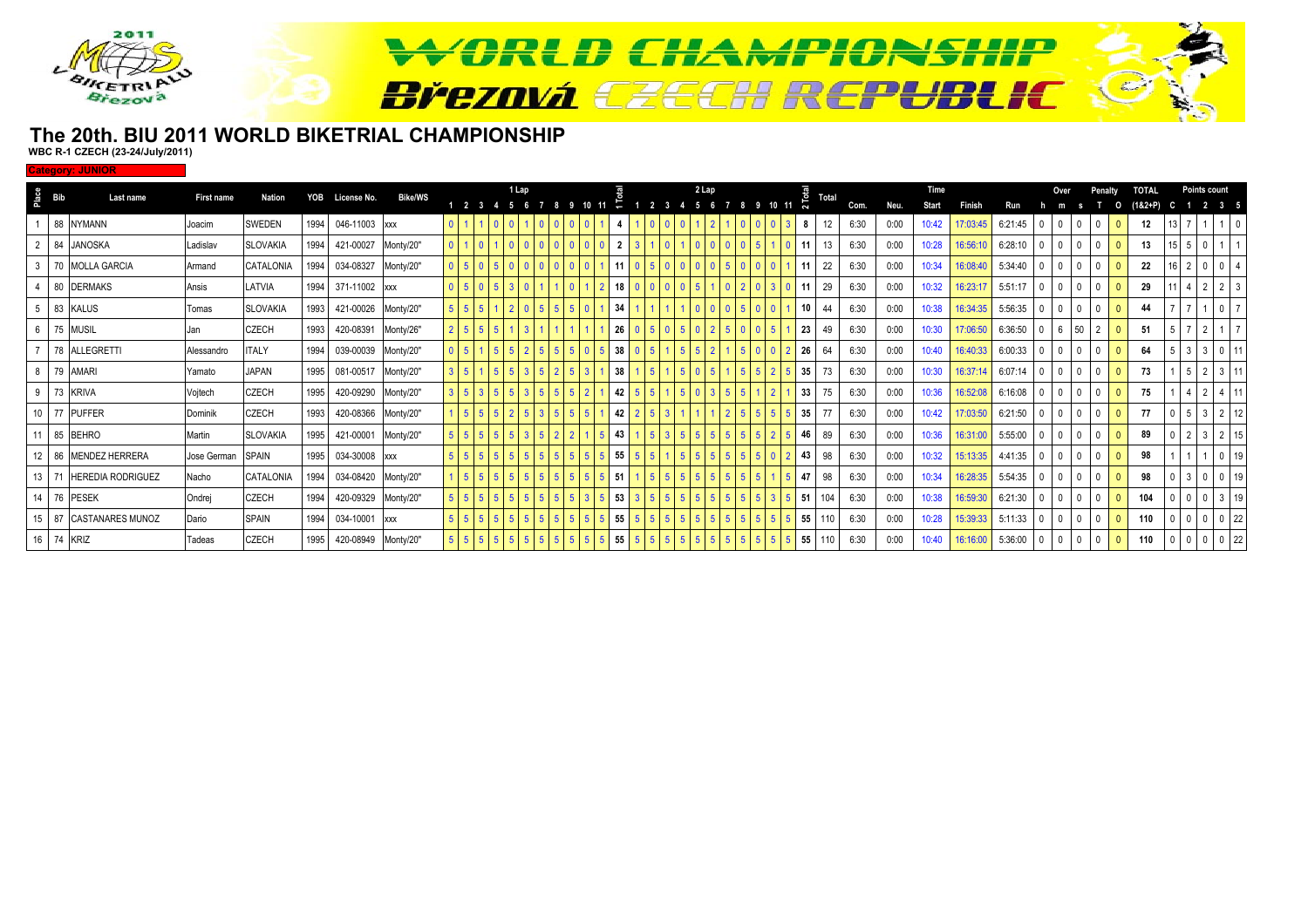

### **The 20th. BIU 2011 WORLD BIKETRIAL CHAMPIONSHIPWBC R-1 CZECH (23-24/July/2011)**

**Category: JUNIOR**

|   | $rac{e}{2}$ Bib | Last name                  | <b>First name</b> | Nation          | YOB  | License No.         | <b>Bike/WS</b> |                  |  |           | 1 Lap |    |        |                |             | 2 Lap |  |       |      | Total |      |      | Time  |          |         |   |    |                |              | <b>TOTAL</b> |                 |         | <b>Points count</b> |  |
|---|-----------------|----------------------------|-------------------|-----------------|------|---------------------|----------------|------------------|--|-----------|-------|----|--------|----------------|-------------|-------|--|-------|------|-------|------|------|-------|----------|---------|---|----|----------------|--------------|--------------|-----------------|---------|---------------------|--|
|   |                 |                            |                   |                 |      |                     |                |                  |  | 1 2 3 4 5 |       |    | 10, 11 |                | $1 \t2 \t3$ |       |  | 10 11 | ົີ   |       | Com. | Neu. | Start | Finish   | Run     | m |    |                | O            | $(182 + P)$  |                 |         | 2 3 5               |  |
|   |                 | 88 NYMANN                  | Joacim            | SWEDEN          | 1994 | 046-11003 xxx       |                | $\overline{0}$   |  |           |       |    |        |                |             |       |  |       |      |       | 6:30 | 0:00 | 10:42 | 17:03:45 | 6:21:45 |   |    | $\Omega$       | $\mathbf{0}$ | 12           |                 |         |                     |  |
|   |                 | 84 JANOSKA                 | Ladislav          | <b>SLOVAKIA</b> | 1994 | 421-00027           | Monty/20"      | $\overline{0}$   |  |           |       |    |        | $\overline{2}$ |             |       |  |       |      |       | 6:30 | 0:00 | 10:28 | 16:56:10 | 6:28:10 |   |    | $^{\circ}$     | $\mathbf{0}$ |              | 15 <sup>1</sup> |         |                     |  |
|   |                 | 70 MOLLA GARCIA            | Armand            | CATALONIA       | 1994 | 034-08327           | Monty/20"      | $\overline{0}$   |  |           |       |    |        |                |             |       |  |       |      | 22    | 6:30 | 0:00 | 10:34 | 16:08:40 | 5:34:40 |   |    | $\Omega$       |              | 22           |                 |         |                     |  |
|   |                 | 80 DERMAKS                 | Ansis             | LATVIA          | 1994 | 371-11002 xxx       |                | $\overline{0}$   |  |           |       |    |        | 18             |             |       |  |       |      | 29    | 6:30 | 0:00 | 10:32 | 16:23:17 | 5:51:17 |   |    |                |              | 29           |                 |         |                     |  |
|   |                 | 83 KALUS                   | Tomas             | <b>SLOVAKIA</b> | 1993 | 421-00026 Monty/20" |                | 5 <sup>1</sup>   |  |           |       |    |        | 34             |             |       |  |       |      |       | 6:30 | 0:00 | 10:38 | 16:34:35 | 5:56:35 |   |    |                |              |              |                 |         |                     |  |
| 6 |                 | 75 MUSIL                   | Jan               | <b>CZECH</b>    | 1993 | 420-08391           | Monty/26"      | $2 \overline{5}$ |  |           |       |    |        | 26             |             |       |  |       | 23   |       | 6:30 | 0:00 | 10:30 | 17:06:50 | 6:36:50 | 6 | 50 | $\overline{2}$ |              | 51           |                 |         |                     |  |
|   |                 | 78 ALLEGRETTI              | Alessandro        | <b>ITALY</b>    | 1994 | 039-00039 Monty/20" |                | $\overline{0}$   |  |           |       | -5 |        | 38             |             |       |  |       | 26   | 64    | 6:30 | 0:00 | 10:40 | 16:40:33 | 6:00:33 |   |    | $^{\circ}$     |              | 64           |                 | 5 3 3 0 |                     |  |
| 8 |                 | 79 AMARI                   | Yamato            | <b>JAPAN</b>    | 1995 | 081-00517           | Monty/20"      | 3 <sup>1</sup>   |  |           |       |    |        | 38             |             |       |  |       | 35   |       | 6:30 | 0:00 | 10:30 | 16:37:14 | 6:07:14 |   |    | $\Omega$       |              | 73           |                 |         | $5 \mid 2 \mid 3$   |  |
| 9 |                 | 73 KRIVA                   | Vojtech           | <b>CZECH</b>    | 1995 | 420-09290 Monty/20" |                | 3 <sup>1</sup>   |  |           |       |    |        | 42             |             |       |  |       | 33   |       | 6:30 | 0:00 | 10:36 | 16:52:08 | 6:16:08 |   |    | $\Omega$       |              | 75           |                 |         |                     |  |
|   |                 | 77 PUFFER                  | Dominik           | <b>CZECH</b>    | 1993 | 420-08366 Monty/20" |                | $1\overline{5}$  |  |           |       |    |        | 42             |             |       |  |       | 35   |       | 6:30 | 0:00 | 10:42 | 17:03:50 | 6:21:50 |   |    | $^{\circ}$     |              | 77           |                 |         |                     |  |
|   |                 | 11 85 BEHRO                | Martin            | <b>SLOVAKIA</b> | 1995 | 421-00001           | Monty/20"      | $5 \mid 5$       |  |           |       |    |        | 43             |             |       |  |       | 46   | 89    | 6:30 | 0:00 | 10:36 | 16:31:00 | 5:55:00 |   |    | $\mathbf{0}$   |              | 89           |                 |         |                     |  |
|   |                 | 12 86 MENDEZ HERRERA       | Jose German       | <b>SPAIN</b>    | 1995 | 034-30008 xxx       |                | 5 <sup>1</sup>   |  |           |       |    |        | 55             |             |       |  |       | 43   | 98    | 6:30 | 0:00 | 10:32 | 15:13:35 | 4:41:35 |   |    |                |              | 98           |                 |         |                     |  |
|   | 13 71           | <b>HEREDIA RODRIGUEZ</b>   | Nacho             | CATALONIA       | 1994 | 034-08420 Monty/20" |                |                  |  |           |       |    |        | 51             |             |       |  |       |      | 98    | 6:30 | 0:00 | 10:34 | 16:28:35 | 5:54:35 |   |    |                |              | 98           |                 |         |                     |  |
|   |                 | 14 76 PESEK                | Ondrej            | <b>CZECH</b>    | 1994 | 420-09329 Monty/20" |                | $5 \mid 5$       |  |           |       | -5 |        | 53             |             |       |  |       | . 51 |       | 6:30 | 0:00 | 10:38 | 16:59:30 | 6:21:30 |   |    | $^{\circ}$     | $\mathbf{0}$ | 104          |                 |         |                     |  |
|   |                 | 15   87   CASTANARES MUNOZ | Dario             | <b>SPAIN</b>    | 1994 | 034-10001 xxx       |                | $5 \vert 5$      |  |           |       | -5 |        | 55             |             |       |  |       | 55   | 110   | 6:30 | 0:00 | 10:28 | 15:39:33 | 5:11:33 |   |    | $^{\circ}$     | $\mathbf{0}$ | 110          |                 |         |                     |  |
|   | 16 74 KRIZ      |                            | Tadeas            | <b>CZECH</b>    | 1995 | 420-08949 Monty/20" |                | $5 \mid 5$       |  |           |       |    |        | 55             |             |       |  |       | 55   |       | 6:30 | 0:00 | 10:40 | 16:16:00 | 5:36:00 |   |    | $\mathbf{0}$   | $\mathbf{0}$ | 110          |                 |         | $0 0 0 22$          |  |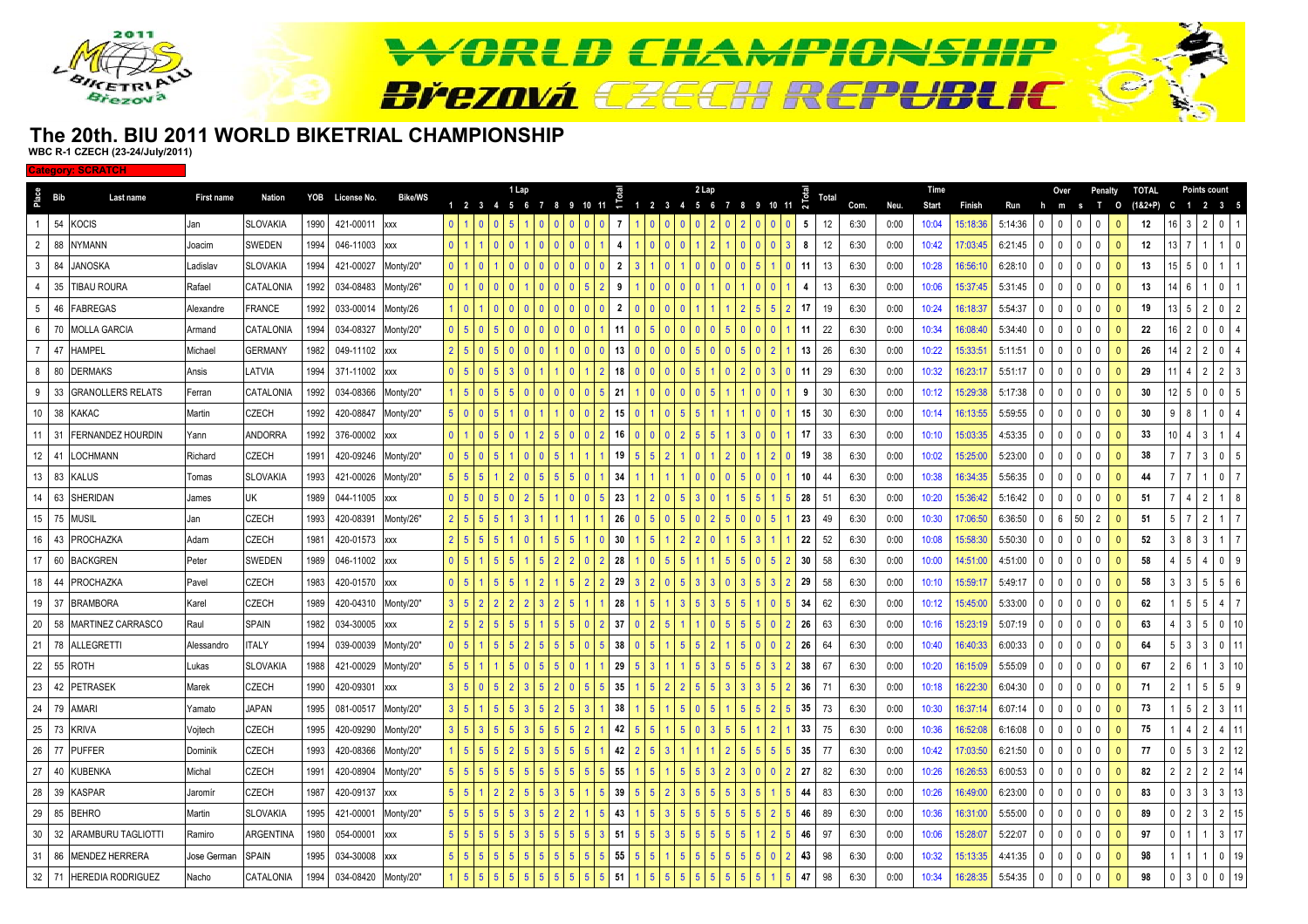

#### **The 20th. BIU 2011 WORLD BIKETRIAL CHAMPIONSHIPWBC R-1 CZECH (23-24/July/2011)**

**Category: SCRATCH**

|                 | $rac{e}{2}$ Bib       | Last name                | <b>First name</b> | Nation          |      | YOB License No. | <b>Bike/WS</b> |                |                | 1 Lap |    |                |           |                |             | 2 Lap |                |                   |    | Total |      |      | Time         |          |         |              | Over            |                                | Penalty      | <b>TOTAL</b> |     |                | <b>Points count</b> |                |
|-----------------|-----------------------|--------------------------|-------------------|-----------------|------|-----------------|----------------|----------------|----------------|-------|----|----------------|-----------|----------------|-------------|-------|----------------|-------------------|----|-------|------|------|--------------|----------|---------|--------------|-----------------|--------------------------------|--------------|--------------|-----|----------------|---------------------|----------------|
|                 |                       |                          |                   |                 |      |                 |                |                | 1 2 3 4 5 6    |       |    |                | 8 9 10 11 | ÷              | 1 2 3 4 5 6 |       | $\overline{7}$ | 8 9 10 11         |    |       | Com. | Neu. | <b>Start</b> | Finish   | Run     | h            | m               | $\mathbf{T}$<br>$\mathbf{s}$   | $\circ$      | $(18.2 + P)$ | C   | $\blacksquare$ | 2 3 5               |                |
|                 |                       | 54 KOCIS                 | Jan               | SLOVAKIA        | 1990 | 421-00011       | <b>XXX</b>     |                |                |       |    |                |           |                |             |       |                |                   | 5  | 12    | 6:30 | 0:00 | 10:04        | 15:18:36 | 5:14:36 | $\Omega$     | $\mathbf{0}$    | $\mathbf{0}$<br>$\Omega$       | $\mathbf{0}$ | 12           |     |                |                     | $\overline{0}$ |
|                 | $2^{\circ}$<br>88     | <b>NYMANN</b>            | Joacim            | SWEDEN          | 1994 | 046-11003       | <b>XXX</b>     |                |                |       |    |                |           |                |             |       |                |                   | 8  | 12    | 6:30 | 0:00 | 10:42        | 17:03:45 | 6:21:45 | $\Omega$     | $\mathbf 0$     | $\mathbf 0$<br>$\Omega$        | $\mathbf{0}$ | 12           |     |                |                     |                |
|                 | 3 <sup>1</sup><br>84  | <b>JANOSKA</b>           | Ladislav          | SLOVAKIA        | 1994 | 421-00027       | Monty/20"      |                |                |       |    |                |           | 2              |             |       |                |                   | 11 | 13    | 6:30 | 0:00 | 10:28        | 16:56:10 | 6:28:10 | $\mathbf{0}$ | $\mathbf{0}$    | $\mathbf{0}$<br>$\overline{0}$ | $\Omega$     | 13           |     | 15   5         |                     |                |
|                 | 35<br>$\overline{4}$  | <b>TIBAU ROURA</b>       | Rafael            | CATALONIA       | 1992 | 034-08483       | Monty/26"      |                |                |       |    | $\Omega$       |           | 9              |             |       |                | $01$ 0            | 4  | 13    | 6:30 | 0:00 | 10:06        | 15:37:45 | 5:31:45 | $\mathbf{0}$ | $\mathbf 0$     | $\mathbf 0$<br>$\mathbf{0}$    | $\mathbf{0}$ | 13           |     | l 6            |                     |                |
|                 | 5 <sub>5</sub><br>46  | <b>FABREGAS</b>          | Alexandre         | FRANCE          | 1992 | 033-00014       | Monty/26       |                |                |       |    |                |           | $\overline{2}$ |             |       |                |                   | 17 | 19    | 6:30 | 0:00 | 10:24        | 16:18:37 | 5:54:37 | $\mathbf{0}$ | $\mathbf 0$     | 0<br>$\Omega$                  | $\mathbf{0}$ | 19           |     | 13 5           |                     |                |
|                 | 70<br>$6\overline{6}$ | <b>MOLLA GARCIA</b>      | Armand            | CATALONIA       | 1994 | 034-08327       | Monty/20"      |                |                |       |    |                |           |                |             |       |                |                   | 11 | 22    | 6:30 | 0:00 | 10:34        | 16:08:40 | 5:34:40 | $\Omega$     | $\mathbf 0$     | $\mathbf 0$<br>$\Omega$        | $\mathbf{0}$ | 22           |     |                |                     |                |
| $7^{\circ}$     | 47                    | <b>HAMPEL</b>            | Michael           | <b>GERMANY</b>  | 1982 | 049-11102       | <b>XXX</b>     | $5^{\circ}$    |                |       |    |                |           | 13             |             |       |                |                   | 13 | 26    | 6:30 | 0:00 | 10:22        | 15:33:51 | 5:11:51 | $\mathbf{0}$ | $\mathbf{0}$    | $\mathbf 0$<br>$\overline{0}$  | $\mathbf{0}$ | 26           |     | $14$   2   2   | <b>0</b>            |                |
|                 | 8 <sup>1</sup>        | 80 DERMAKS               | Ansis             | <b>ATVIA</b>    | 1994 | 371-11002       | <b>XXX</b>     | 5 <sup>5</sup> |                |       |    | $\Omega$       |           | 18             |             |       |                | $0 \mid 3 \mid 0$ | 11 | 29    | 6:30 | 0:00 | 10:32        | 16:23:17 | 5:51:17 | $\Omega$     | $\mathbf 0$     | $^{\circ}$<br>$\mathbf{0}$     | $\mathbf{0}$ | 29           |     |                |                     |                |
| 9               | 33                    | <b>GRANOLLERS RELATS</b> | Ferran            | CATALONIA       | 1992 | 034-08366       | Monty/20"      |                |                |       |    |                |           | 21             |             |       |                |                   | 9  | 30    | 6:30 | 0:00 | 10:12        | 15:29:38 | 5:17:38 | $\mathsf{n}$ | 0               | $\Omega$<br>$\Omega$           |              | 30           |     | $12$   5       |                     | $\overline{0}$ |
|                 | 38<br>$10-10$         | <b>KAKAC</b>             | Martin            | <b>ZECH</b>     | 1992 | 420-08847       | Monty/20"      |                |                |       |    |                |           | 15             |             |       |                |                   | 15 | 30    | 6:30 | 0:00 | 10:14        | 16:13:55 | 5:59:55 | $\Omega$     | $\mathbf{0}$    | $\mathbf{0}$<br>$\Omega$       | $\Omega$     | 30           |     |                |                     |                |
|                 | 11   31               | <b>FERNANDEZ HOURDIN</b> | Yann              | ANDORRA         | 1992 | 376-00002       | <b>XXX</b>     |                |                |       |    |                |           | 16             |             |       |                |                   | 17 | 33    | 6:30 | 0:00 | 10:10        | 15:03:35 | 4:53:35 | $\Omega$     | $\mathbf{0}$    | $\mathbf 0$<br>$\mathbf{0}$    | $\mathbf{0}$ | 33           |     |                |                     |                |
|                 | 12                    | 41 LOCHMANN              | Richard           | <b>ZECH</b>     | 1991 | 420-09246       | Monty/20"      | $\overline{5}$ |                |       |    |                |           | 19             |             |       |                |                   | 19 | 38    | 6:30 | 0:00 | 10:02        | 15:25:00 | 5:23:00 | $\Omega$     | $\mathbf 0$     | 0<br>$\mathbf{0}$              | $\mathbf{0}$ | 38           |     |                | $\mathbf{0}$        |                |
| 13              |                       | 83 KALUS                 | Tomas             | SLOVAKIA        | 1993 | 421-00026       | Monty/20"      | $\overline{5}$ |                |       |    |                |           | 34             |             |       |                |                   | 10 | 44    | 6:30 | 0:00 | 10:38        | 16:34:35 | 5:56:35 | $\mathbf{0}$ | $\mathbf{0}$    | $^{\circ}$<br>$\Omega$         | $\mathbf{0}$ | 44           |     |                |                     | $\Omega$       |
| 14              | 63                    | SHERIDAN                 | James             | JK              | 1989 | 044-11005       | <b>XXX</b>     |                |                |       |    |                |           | 23             |             |       |                |                   | 28 | 51    | 6:30 | 0:00 | 10:20        | 15:36:42 | 5:16:42 | $\cap$       | $\mathbf 0$     | $\Omega$<br>$\Omega$           |              | 51           |     |                |                     |                |
|                 | 15 75                 | <b>MUSIL</b>             | Jan               | <b>ZECH</b>     | 1993 | 420-08391       | Monty/26"      |                |                |       |    |                |           | 26             |             |       |                |                   | 23 | 49    | 6:30 | 0:00 | 10:30        | 17:06:50 | 6:36:50 |              | $6\overline{6}$ | 50<br>$\overline{2}$           |              | 51           |     |                |                     |                |
|                 |                       | 16 43 PROCHAZKA          | Adam              | CZECH           | 1981 | 420-01573       | <b>XXX</b>     | $\overline{5}$ |                |       |    | $5^{\circ}$    |           | 30             |             |       |                | 3 <sup>1</sup>    | 22 | 52    | 6:30 | 0:00 | 10:08        | 15:58:30 | 5:50:30 | $\Omega$     | $\overline{0}$  | $^{\circ}$<br>$\mathbf{0}$     | $\mathbf 0$  | 52           |     | -8             | - 3                 |                |
| 17              | 60                    | <b>BACKGREN</b>          | Peter             | SWEDEN          | 1989 | 046-11002       | <b>XXX</b>     |                |                |       |    |                |           | 28             |             |       |                |                   | 30 | 58    | 6:30 | 0:00 | 10:00        | 14:51:00 | 4:51:00 | $\Omega$     | 0               | $\mathbf{0}$<br>$\Omega$       |              | 58           |     |                |                     |                |
| 18              | 44                    | <b>PROCHAZKA</b>         | Pavel             | <b>ZECH</b>     | 1983 | 420-01570       | <b>XXX</b>     |                |                |       |    |                |           | 29             |             |       |                |                   | 29 | 58    | 6:30 | 0:00 | 10:10        | 15:59:17 | 5:49:17 | $\Omega$     | $\mathbf{0}$    | $\mathbf 0$<br>n               | $\mathbf{0}$ | 58           |     | - 3            |                     |                |
|                 | 19 37                 | <b>BRAMBORA</b>          | Karel             | <b>ZECH</b>     | 1989 | 420-04310       | Monty/20"      |                |                |       |    |                |           | 28             |             |       |                |                   | 34 | 62    | 6:30 | 0:00 | 10:12        | 15:45:00 | 5:33:00 | $\Omega$     | $\mathbf{0}$    | $\mathbf 0$<br>$\mathbf{0}$    | $\mathbf{0}$ | 62           |     | -5             | l 5                 |                |
|                 |                       | 20 58 MARTINEZ CARRASCO  | Raul              | <b>SPAIN</b>    | 1982 | 034-30005       | <b>XXX</b>     | $\overline{5}$ |                |       |    | 5 <sup>1</sup> |           | 37             |             |       |                |                   | 26 | 63    | 6:30 | 0:00 | 10:16        | 15:23:19 | 5:07:19 | $\mathbf{0}$ | $\mathbf 0$     | $^{\circ}$<br>$\mathbf{0}$     | $\mathbf{0}$ | 63           |     | - 3            | 5<br>$\overline{0}$ |                |
| 21              | 78                    | <b>ALLEGRETTI</b>        | Alessandro        | <b>TALY</b>     | 1994 | 039-00039       | Monty/20"      |                |                |       |    |                |           | 38             |             |       |                |                   | 26 | 64    | 6:30 | 0:00 | 10:40        | 16:40:33 | 6:00:33 | $\Omega$     | 0               | $\Omega$<br>$\Omega$           |              | 64           |     | 3              | 3                   | 0 <sup>1</sup> |
| 22              | 55                    | <b>ROTH</b>              | Lukas             | <b>SLOVAKIA</b> | 1988 | 421-00029       | Monty/20"      |                |                |       |    |                |           | 29             |             |       |                |                   | 38 | 67    | 6:30 | 0:00 | 10:20        | 16:15:09 | 5:55:09 | $\Omega$     | $\mathbf 0$     | 0<br>$\Omega$                  | $\mathbf{0}$ | 67           |     |                |                     |                |
| 23              | 42                    | <b>PETRASEK</b>          | Marek             | <b>ZECH</b>     | 1990 | 420-09301       | XXX            |                |                |       |    |                |           | 35             |             |       |                |                   | 36 | 71    | 6:30 | 0:00 | 10:18        | 16:22:30 | 6:04:30 | $\Omega$     | $\mathbf{0}$    | $\mathbf 0$<br>$\Omega$        | $\mathbf{0}$ | 71           |     |                |                     | 59             |
| 24              | 79                    | <b>AMARI</b>             | Yamato            | <b>JAPAN</b>    | 1995 | 081-00517       | Monty/20"      | $5^{\circ}$    |                |       |    | $5^{\circ}$    |           | 38             |             |       |                | $5 \mid 2$        | 35 | 73    | 6:30 | 0:00 | 10:30        | 16:37:14 | 6:07:14 | $\Omega$     | $\overline{0}$  | $\mathbf 0$<br>$\mathbf{0}$    | $\mathbf{0}$ | 73           |     | -5             |                     |                |
| 25              | 73                    | <b>KRIVA</b>             | Vojtech           | <b>ZECH</b>     | 1995 | 420-09290       | Monty/20"      |                |                |       |    |                |           | 42             |             |       |                |                   | 33 | 75    | 6:30 | 0:00 | 10:36        | 16:52:08 | 6:16:08 | $\Omega$     | 0               | $\mathbf{0}$<br>$\Omega$       |              | 75           |     |                |                     |                |
| 26              | 77                    | <b>PUFFER</b>            | Dominik           | <b>ZECH</b>     | 1993 | 420-08366       | Monty/20"      |                |                |       |    |                |           | 42             |             |       |                |                   | 35 | 77    | 6:30 | 0:00 | 10:42        | 17:03:50 | 6:21:50 | $\Omega$     | $\mathbf{0}$    | $\mathbf{0}$<br>$\sqrt{ }$     |              | 77           |     |                |                     |                |
| 27              | 40                    | <b>KUBENKA</b>           | Michal            | <b>ZECH</b>     | 1991 | 420-08904       | Monty/20"      |                |                |       |    |                |           | 55             |             |       |                |                   | 27 | 82    | 6:30 | 0:00 | 10:26        | 16:26:53 | 6:00:53 | $\Omega$     | $\mathbf{0}$    | $\mathbf 0$<br>$\cdot$ 0       | $\mathbf{0}$ | 82           |     |                |                     |                |
| 28              |                       | 39 KASPAR                | Jaromír           | CZECH           | 1987 | 420-09137       | <b>XXX</b>     |                |                |       |    |                |           | 39             |             |       |                | 5 <sub>1</sub>    | 44 | 83    | 6:30 | 0:00 | 10:26        | 16:49:00 | 6:23:00 | $\Omega$     | $\mathbf 0$     | 0<br>$\mathbf{0}$              | $\mathbf{0}$ | 83           |     | 3              | l 3                 | $3 \mid 13$    |
| 29              | 85                    | <b>BEHRO</b>             | Martin            | SLOVAKIA        | 1995 | 421-00001       | Monty/20"      |                |                |       |    |                |           | 43             |             |       |                |                   | 46 | 89    | 6:30 | 0:00 | 10:36        | 16:31:00 | 5:55:00 | $\mathbf{0}$ | $\mathbf{0}$    | 0<br>$\Omega$                  | $\mathbf{0}$ | 89           |     |                |                     | 2              |
| 30 <sup>1</sup> | 32                    | ARAMBURU TAGLIOTTI       | Ramiro            | ARGENTINA       | 1980 | 054-00001       | <b>XXX</b>     |                |                |       |    |                |           | 51             |             |       |                |                   | 46 | 97    | 6:30 | 0:00 | 10:06        | 15:28:07 | 5:22:07 | $\Omega$     | $\overline{0}$  | $\mathbf 0$<br>$\Omega$        | $\mathbf{0}$ | 97           |     |                |                     |                |
|                 | 31 86                 | <b>MENDEZ HERRERA</b>    | Jose German       | SPAIN           | 1995 | 034-30008       | <b>XXX</b>     |                |                |       |    |                |           | 55             |             |       |                |                   | 43 | 98    | 6:30 | 0:00 | 10:32        | 15:13:35 | 4:41:35 | $\Omega$     | $\mathbf{0}$    | $\theta$                       |              | 98           |     |                |                     |                |
|                 |                       | 32 71 HEREDIA RODRIGUEZ  | Nacho             | CATALONIA       | 1994 | 034-08420       | Monty/20"      | 5 <sup>5</sup> | 5 <sup>5</sup> | l 5   | -5 | 5 <sup>1</sup> |           | 51             |             |       |                | 5 I               | 47 | 98    | 6:30 | 0:00 | 10:34        | 16:28:35 | 5:54:35 | $\mathbf{0}$ | $\overline{0}$  | $\mathbf 0$<br>0               | $\mathbf{0}$ | 98           | - 0 | 3              | I 0                 | $0$ 19         |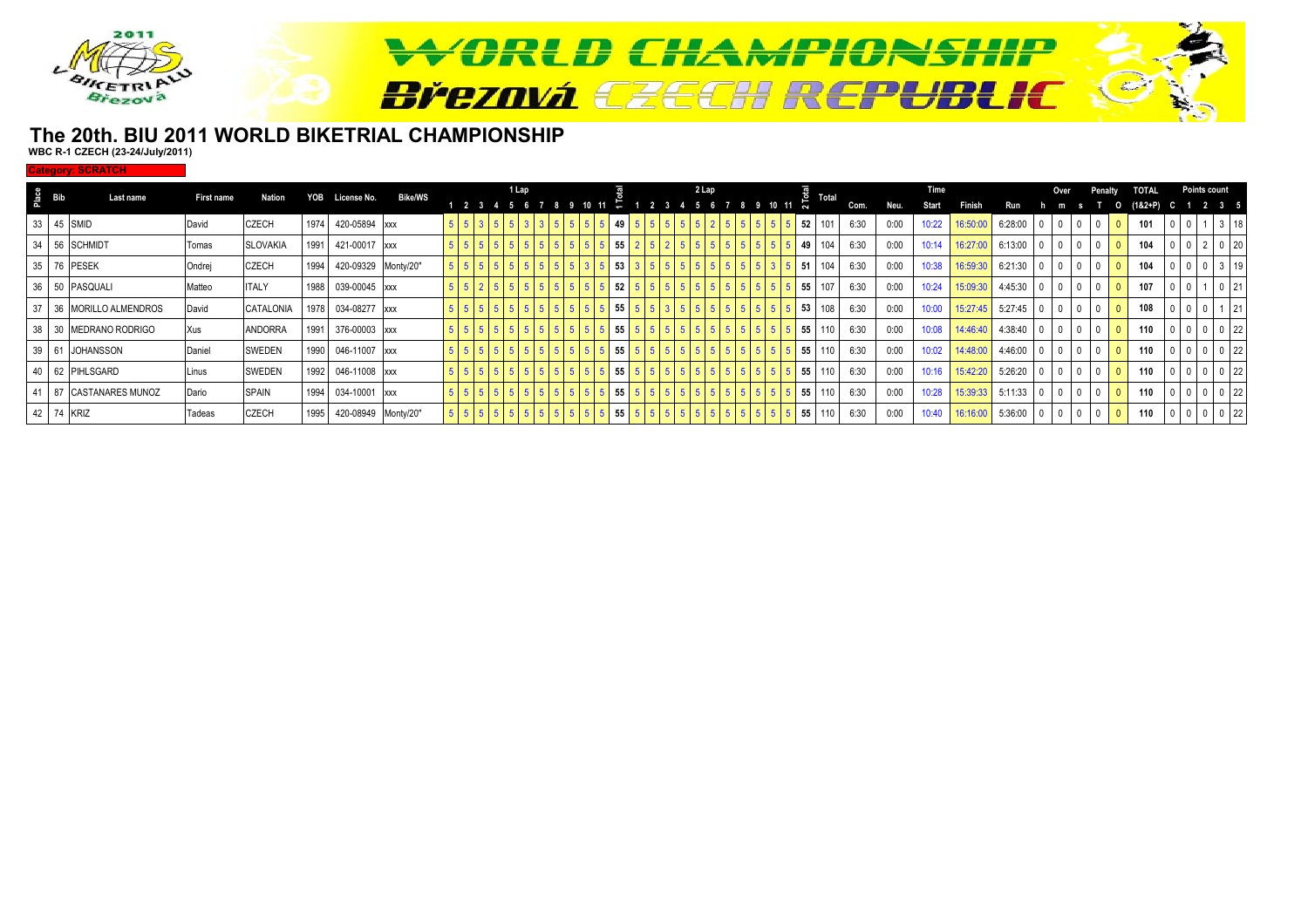

#### **The 20th. BIU 2011 WORLD BIKETRIAL CHAMPIONSHIPWBC R-1 CZECH (23-24/July/2011)**

**Category: SCRATCH**

| $rac{e}{2}$ Bib | Last name               | <b>First name</b> | Nation          | YOB  | License No.         | <b>Bike/WS</b> |  |                                        | 1 Lap |     |            |     |  |                                 | 2 Lap          |                        |    |     | $\ddot{\tilde{e}}$ Total |      |      | Time  |          |         | Over | Penalty      |              | <b>TOTAL</b> |  | <b>Points count</b> |     |
|-----------------|-------------------------|-------------------|-----------------|------|---------------------|----------------|--|----------------------------------------|-------|-----|------------|-----|--|---------------------------------|----------------|------------------------|----|-----|--------------------------|------|------|-------|----------|---------|------|--------------|--------------|--------------|--|---------------------|-----|
|                 |                         |                   |                 |      |                     |                |  |                                        |       |     |            |     |  |                                 |                |                        |    |     |                          | Com. | Neu. | Start | Finish   |         |      |              |              |              |  | 2 3 5               |     |
|                 | 33 45 SMID              | David             | CZECH           | 1974 | 420-05894 xxx       |                |  | $3 \quad 5 \quad 5 \quad 3$            |       |     | $5 \mid 5$ | 49  |  | $5 \mid 5 \mid 5 \mid 5 \mid 5$ |                | $5 \mid 5 \mid 5 \mid$ |    | 52  |                          | 6:30 | 0:00 | 10:22 | 16:50:00 | 6:28:00 |      |              |              | 101          |  |                     |     |
|                 | 34 56 SCHMIDT           | Tomas             | <b>SLOVAKIA</b> | 1991 | 421-00017 xxx       |                |  | 5555                                   |       |     |            | .55 |  | $5 \quad 2 \quad 5 \quad 5$     | $5^{\circ}$    |                        | -5 | 49  | 104                      | 6:30 | 0:00 | 10:14 | 16:27:00 | 6:13:00 |      | $\mathbf{0}$ |              | 104          |  |                     |     |
|                 | 35 76 PESEK             | Ondrej            | <b>CZECH</b>    | 1994 | 420-09329 Monty/20" |                |  |                                        |       |     |            | 53  |  |                                 |                |                        |    | 151 | 104                      | 6:30 | 0:00 | 10:38 | 16:59:30 | 6:21:30 |      |              |              | 104          |  |                     |     |
|                 | 36 50 PASQUALI          | Matteo            | <b>ITALY</b>    | 1988 | 039-00045 xxx       |                |  |                                        | l 5   |     |            | 52  |  |                                 |                |                        |    |     |                          | 6:30 | 0:00 | 10:24 | 15:09:30 | 4:45:30 |      | $\mathbf{0}$ | $\mathbf{0}$ | 107          |  |                     |     |
|                 | 37 36 MORILLO ALMENDROS | David             | CATALONIA       | 1978 | 034-08277 xxx       |                |  |                                        |       |     |            | 55  |  |                                 |                |                        |    | 53  | 108                      | 6:30 | 0:00 |       | 15:27:45 | 5:27:45 |      |              |              | 108          |  |                     |     |
|                 | 38 30 MEDRANO RODRIGO   | Xus               | <b>ANDORRA</b>  | 1991 | 376-00003 xxx       |                |  |                                        | I 5   |     |            | 55  |  | l 5                             |                |                        |    | 55  | 110                      | 6:30 | 0:00 |       | 14:46:40 | 4:38:40 |      | $\mathbf{0}$ | $\mathbf{0}$ | 110          |  |                     |     |
|                 | 39 61 JOHANSSON         | Daniel            | SWEDEN          | 1990 | 046-11007 xxx       |                |  |                                        |       |     |            | 55  |  | <b>15</b>                       |                |                        |    | 55  | 110                      | 6:30 | 0:00 | 10:02 | 14:48:00 | 4:46:00 |      |              |              | 110          |  |                     | 122 |
|                 | 40 62 PIHLSGARD         | Linus             | SWEDEN          | 1992 | 046-11008 xxx       |                |  |                                        |       |     |            | 55  |  |                                 |                |                        |    | 55  | 110                      | 6:30 | 0:00 | 10:16 | 15:42:20 | 5:26:20 |      | 0            |              | 110          |  |                     |     |
|                 | 41 87 CASTANARES MUNOZ  | Dario             | <b>SPAIN</b>    | 1994 | 034-10001 xxx       |                |  |                                        |       |     |            | 55  |  | I 5                             |                |                        |    | 55  | 110                      | 6:30 | 0:00 | 10:28 | 15:39:33 | 5:11:33 |      | $\mathbf{0}$ |              | 110          |  |                     |     |
|                 | 42 74 KRIZ              | Tadeas            | <b>CZECH</b>    | 1995 | 420-08949 Monty/20" |                |  | $5 \mid 5 \mid 5 \mid 5 \mid 5 \mid 5$ |       | l 5 |            | 55  |  | $5 \t5 \t5 \t5 \t5$             | 5 <sup>1</sup> |                        |    | 55  | 110                      | 6:30 | 0:00 | 10:40 | 16:16:00 | 5:36:00 |      | $\mathbf{0}$ | $\mathbf{0}$ | 110          |  |                     |     |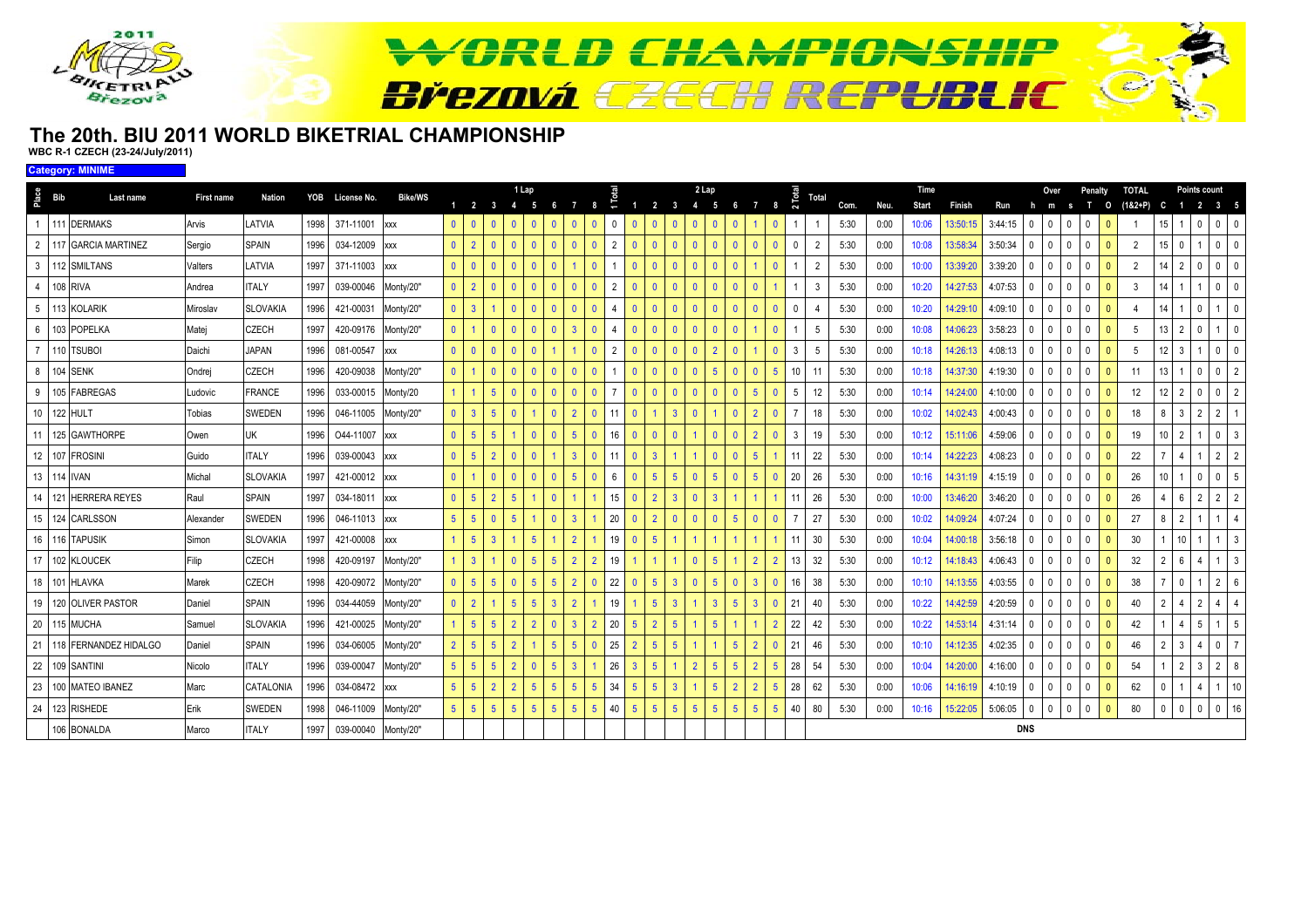

#### **The 20th. BIU 2011 WORLD BIKETRIAL CHAMPIONSHIPWBC R-1 CZECH (23-24/July/2011)**

**Category: MINIME**

| Place<br><b>Bib</b> | Last name                    | <b>First name</b> | <b>Nation</b>   |      | YOB License No.     | <b>Bike/WS</b> |                |                      |                 | 1 Lap                               |                 |                 |                                   |                    |                |                |                | 2 Lap          |                |                |                 |                                | <b>Total</b>   |      |      | Time  |          |         |                | Over                         |              | Penalty      | <b>TOTAL</b>   |                |                 | Points count                     |                |
|---------------------|------------------------------|-------------------|-----------------|------|---------------------|----------------|----------------|----------------------|-----------------|-------------------------------------|-----------------|-----------------|-----------------------------------|--------------------|----------------|----------------|----------------|----------------|----------------|----------------|-----------------|--------------------------------|----------------|------|------|-------|----------|---------|----------------|------------------------------|--------------|--------------|----------------|----------------|-----------------|----------------------------------|----------------|
|                     |                              |                   |                 |      |                     |                |                |                      |                 | $1 \quad 2 \quad 3 \quad 4 \quad 5$ |                 | - 6             | $\mathbf{7}$<br>8                 | L.                 |                |                |                | 1 2 3 4 5      |                | 6              | 7 8             | $\sim$                         |                | Com. | Neu. | Start | Finish   | Run     | h              | m<br><b>S</b>                |              | $\circ$      | $(18.2 + P)$   | C              |                 | 1 2 3 5                          |                |
|                     | 111 DERMAKS                  | Arvis             | <b>ATVIA</b>    | 1998 | 371-11001           | <b>XXX</b>     | $\mathbf{0}$   | $\mathbf{0}$         | - 0             | $\mathbf{0}$                        | $\mathbf{0}$    | $\mathbf{0}$    |                                   | $\mathbf{0}$       |                |                |                | $\mathbf{0}$   |                | $\mathbf{0}$   |                 | 0                              |                | 5:30 | 0:00 | 10:06 | 13:50:15 | 3:44:15 | $\Omega$       |                              | $\cup$       |              |                |                |                 | 0<br>$\mathbf{0}$                | - 0            |
|                     | 2   117 GARCIA MARTINEZ      | Sergio            | SPAIN           | 1996 | 034-12009 xxx       |                | $\overline{0}$ | $\overline{2}$       | $\Omega$        | $\mathbf{0}$                        | $\mathbf{0}$    | $\mathbf{0}$    |                                   | 2                  |                | $\Omega$       |                | $\mathbf{0}$   | $\mathbf{0}$   | $\Omega$       |                 | $\mathbf{0}$<br>$\overline{0}$ |                | 5:30 | 0:00 | 10:08 | 13:58:34 | 3:50:34 | $\mathbf 0$    | $\theta$<br>$\mathbf 0$      | $\mathbf 0$  | $\Omega$     | $\overline{2}$ |                | $\Omega$        | $\Omega$                         | $\mathbf{0}$   |
|                     | 3 112 SMILTANS               | Valters           | <b>ATVIA</b>    | 1997 | 371-11003           | <b>XXX</b>     | $\mathbf{0}$   | $\mathbf{0}$         | $\Omega$        | $\Omega$                            | $\mathbf{0}$    | $\mathbf{0}$    | $\Omega$                          |                    |                | $\Omega$       |                | $\Omega$       | $\Omega$       | $\mathbf{0}$   |                 | $\mathbf{0}$                   | $\mathfrak{D}$ | 5:30 | 0:00 | 10:00 | 3:39:20  | 3:39:20 | $\mathbf 0$    | 0                            | $\mathbf{0}$ | $\Omega$     | $\overline{2}$ |                |                 | $\Omega$<br>0                    | - 0            |
| $\overline{4}$      | 108 RIVA                     | Andrea            | <b>TALY</b>     | 1997 | 039-00046           | Monty/20"      | $\mathbf{0}$   | $\overline{2}$       | $\Omega$        | $\mathbf{0}$                        | $\mathbf{0}$    | $\mathbf{0}$    | $\Omega$<br>$\mathbf{0}$          | $\overline{2}$     |                | $\Omega$       | $\mathbf{0}$   | $\mathbf{0}$   | $\Omega$       | $\mathbf{0}$   |                 |                                | -3             | 5:30 | 0:00 | 10:20 | 14:27:53 | 4:07:53 | $\mathbf{0}$   | $\mathbf{0}$<br>$\mathbf{0}$ | $\mathbf{0}$ | $\mathbf{0}$ | 3              |                |                 | $\mathbf{0}$<br>1                | - 0            |
|                     | 5 113 KOLARIK                | Miroslav          | <b>SLOVAKIA</b> | 1996 | 421-00031           | Monty/20"      | $\overline{0}$ | 3 <sup>°</sup>       |                 | $\mathbf{0}$                        | $\mathbf{0}$    | $\mathbf{0}$    | $\Omega$<br>$\mathbf{0}$          | $\mathbf{\Lambda}$ |                | $\mathbf{0}$   | $\mathbf{0}$   | $\mathbf{0}$   | $\Omega$       | $\mathbf{0}$   |                 | $\overline{0}$<br>$\mathbf{0}$ |                | 5:30 | 0:00 | 10:20 | l4:29:10 | 4:09:10 | $\overline{0}$ | $\mathbf{0}$<br>$\mathbf{0}$ | $\mathbf 0$  | $\mathbf{0}$ |                |                |                 | $\mathbf 0$                      | - 0            |
|                     | 6 103 POPELKA                | Matei             | <b>CZECH</b>    | 1997 | 420-09176           | Monty/20"      | $\mathbf{0}$   | $\mathbf{1}$         | $\overline{0}$  | $\mathbf{0}$                        | $\mathbf{0}$    | $\mathbf{0}$    | $\overline{3}$<br>$\mathbf{0}$    | $\overline{4}$     |                | $\mathbf{0}$   | $\mathbf{0}$   | $\mathbf{0}$   | $\mathbf{0}$   | $\mathbf{0}$   |                 | $\mathbf{0}$                   | 5              | 5:30 | 0:00 | 10:08 | 4:06:23  | 3:58:23 | $\mathbf 0$    | $\mathbf{0}$<br>$\mathbf{0}$ | $\Omega$     | $\mathbf{0}$ | 5              |                | 2               | $\mathbf 0$                      | $\Omega$       |
| $\overline{7}$      | 110 TSUBOI                   | Daichi            | <b>JAPAN</b>    | 1996 | 081-00547           | XXX            | $\mathbf{0}$   | $\mathbf{0}$         | $\Omega$        | $\mathbf{0}$                        | $\mathbf{0}$    |                 | $\Omega$                          | $\overline{2}$     |                | $\Omega$       | $\mathbf{0}$   | $\mathbf{0}$   | $\overline{2}$ | $\mathbf{0}$   |                 | $\mathbf{0}$<br>$\mathbf{3}$   | -5             | 5:30 | 0:00 | 10:18 | 14:26:13 | 4:08:13 | $\Omega$       | $\Omega$<br>$\theta$         | $\Omega$     | $\Omega$     | 5              |                | 3               | $\Omega$                         | - 0            |
| 8 104 SENK          |                              | Ondrej            | CZECH           | 1996 | 420-09038           | Monty/20"      | $\mathbf{0}$   |                      | $\Omega$        | $\mathbf{0}$                        | $\mathbf{0}$    | $\mathbf{0}$    |                                   |                    |                | $\Omega$       |                | $\mathbf{0}$   | -5             | $\mathbf{0}$   |                 | 5<br>$10$                      | 11             | 5:30 | 0:00 | 10:18 | 14:37:30 | 4:19:30 | $\Omega$       | 0                            | $\mathbf 0$  |              | 11             |                |                 | $\Omega$<br>$\mathbf{0}$         | $\overline{2}$ |
| -9                  | 105 FABREGAS                 | Ludovic           | FRANCE          | 1996 | 033-00015           | Monty/20       |                |                      | $5\overline{5}$ | $\mathbf{0}$                        | $\mathbf{0}$    | $\mathbf{0}$    | $\Omega$<br>$\mathbf{0}$          | $\overline{7}$     |                | $\Omega$       |                | $\mathbf{0}$   |                | $\mathbf{0}$   |                 | $\mathbf{0}$<br>5              | 12             | 5:30 | 0:00 | 10:14 | 14:24:00 | 4:10:00 | $\mathbf 0$    | 0                            | 0            | $\Omega$     | 12             |                |                 | 0<br>$\Omega$                    | $\overline{2}$ |
| 10 122 HULT         |                              | Tobias            | <b>SWEDEN</b>   | 1996 | 046-11005           | Monty/20"      | $\mathbf{0}$   | 3 <sup>°</sup>       | $5\overline{5}$ | $\mathbf{0}$                        |                 | $\mathbf{0}$    | $\overline{2}$<br>$\Omega$        | 11                 |                |                |                | $\mathbf{0}$   |                | $\mathbf{0}$   |                 | $\mathbf{0}$<br>$\overline{7}$ | 18             | 5:30 | 0:00 | 10:02 | 14:02:43 | 4:00:43 | $\mathbf{0}$   | $\Omega$<br>$\theta$         | $\Omega$     | $\mathbf{0}$ | 18             | 8              | 3               | $\overline{2}$<br>$\overline{2}$ |                |
|                     | 11 125 GAWTHORPE             | Owen              | UK              | 1996 | O44-11007           | <b>XXX</b>     | $\mathbf{0}$   | 5 <sup>5</sup>       | $5\overline{5}$ |                                     | $\mathbf{0}$    | $\Omega$        | $5\overline{5}$<br>$\mathbf{0}$   | 16                 |                | $\Omega$       | $\mathbf{0}$   |                | $\Omega$       | $\mathbf{0}$   |                 | $\mathbf{0}$<br>$\mathbf{3}$   | 19             | 5:30 | 0:00 | 10:12 | 15:11:06 | 4:59:06 | $\Omega$       | $\mathbf{0}$<br>$\Omega$     | $\Omega$     | $\mathbf{0}$ | 19             |                |                 | $\mathbf{0}$                     | $\overline{3}$ |
|                     | 12 107 FROSINI               | Guido             | <b>TALY</b>     | 1996 | 039-00043           | <b>XXX</b>     | $\mathbf{0}$   | 5 <sup>5</sup>       | $\overline{2}$  | $\mathbf{0}$                        | $\mathbf{0}$    |                 | $\overline{3}$<br>$\mathbf{0}$    | 11                 |                | $\overline{3}$ |                |                | $\mathbf{0}$   | $\mathbf{0}$   | 5               | 11                             | 22             | 5:30 | 0:00 | 10:14 | 14:22:23 | 4:08:23 | $\overline{0}$ | $\mathbf{0}$<br>0            | $\mathbf 0$  | $\mathbf{0}$ | 22             |                |                 | $\overline{2}$                   | $\overline{2}$ |
| 13 114 IVAN         |                              | Michal            | <b>SLOVAKIA</b> | 1997 | 421-00012 xxx       |                | $\mathbf{0}$   | $\blacktriangleleft$ | $\Omega$        | $\mathbf{0}$                        | $\mathbf{0}$    | $\mathbf{0}$    | -5<br>$\mathbf{0}$                | 6                  |                |                | 5 <sup>5</sup> | $\mathbf{0}$   | -5             | $\mathbf{0}$   |                 | 20<br>$\mathbf{0}$             | 26             | 5:30 | 0:00 | 10:16 | 14:31:19 | 4:15:19 | $\Omega$       | $\theta$<br>$\Omega$         | $\Omega$     |              | 26             |                |                 | $\mathbf{0}$<br>$\mathbf 0$      | 5              |
|                     | 14 121 HERRERA REYES         | Raul              | <b>SPAIN</b>    | 1997 | 034-18011           | <b>XXX</b>     | $\mathbf{0}$   | 5 <sup>5</sup>       | $\overline{2}$  | 5 <sup>5</sup>                      |                 | $\mathbf{0}$    |                                   | 15                 |                | $\overline{2}$ |                | $\mathbf{0}$   | 3              |                |                 | 11                             | 26             | 5:30 | 0:00 | 10:00 | 13:46:20 | 3:46:20 | $\mathbf 0$    | $\mathbf{0}$<br>0            | $\Omega$     |              | 26             | Δ              | 6               | $\overline{2}$<br>$\overline{2}$ | $\overline{2}$ |
|                     | 15 124 CARLSSON              | Alexander         | <b>SWEDEN</b>   | 1996 | 046-11013 xxx       |                | 5 <sup>1</sup> | 5 <sup>5</sup>       | $\Omega$        | $5^{\circ}$                         |                 | $\Omega$        | $\mathbf{3}$                      | 20                 |                |                |                | $\mathbf{0}$   | $\Omega$       | 5              |                 | $\mathbf{0}$<br>$\overline{7}$ | 27             | 5:30 | 0:00 | 10:02 | 14:09:24 | 4:07:24 | $\mathbf 0$    | $\theta$                     | $\Omega$     |              | 27             | 8              |                 |                                  | $\overline{4}$ |
|                     | 16 116 TAPUSIK               | Simon             | <b>SLOVAKIA</b> | 1997 | 421-00008           | <b>XXX</b>     |                | 5 <sup>5</sup>       | $\overline{3}$  |                                     | -5              |                 |                                   | 19                 |                | $\sqrt{5}$     |                |                |                |                |                 | 11                             | 30             | 5:30 | 0:00 | 10:04 | 14:00:18 | 3:56:18 | $\mathbf 0$    | $\mathbf{0}$                 | $\Omega$     | $\Omega$     | 30             |                | 10 <sup>1</sup> | 1                                | -3             |
|                     | 17 102 KLOUCEK               | Filip             | CZECH           | 1998 | 420-09197           | Monty/20"      |                | $\mathbf{3}$         |                 | $\mathbf{0}$                        | $5\phantom{.0}$ | 5 <sup>5</sup>  | $\overline{2}$                    | 19                 |                |                |                | $\mathbf{0}$   | -5             |                |                 | $\overline{2}$<br>13           | 32             | 5:30 | 0:00 | 10:12 | 14:18:43 | 4:06:43 | $\cdot$ 0      | $\mathbf{0}$<br>$\Omega$     | $\mathbf 0$  | $\Omega$     | 32             | $\overline{2}$ | 6               | $\overline{4}$                   | 3              |
|                     | 18 101 HLAVKA                | Marek             | CZECH           | 1998 | 420-09072           | Monty/20"      | $\mathbf{0}$   | 5 <sup>5</sup>       | $5\overline{5}$ | $\mathbf{0}$                        | -5              | 5 <sup>5</sup>  | $\overline{2}$<br>$\mathbf{0}$    | 22                 |                | 5              |                | $\mathbf{0}$   | 5 <sup>5</sup> | $\mathbf{0}$   |                 | $\mathbf{0}$                   | 16<br>38       | 5:30 | 0:00 | 10:10 | 14:13:55 | 4:03:55 | $\mathbf 0$    | $\mathbf 0$<br>$\mathbf 0$   | 0            | $\Omega$     | 38             |                | $\Omega$        | $\overline{2}$                   | - 6            |
|                     | 19 120 OLIVER PASTOR         | Daniel            | <b>SPAIN</b>    | 1996 | 034-44059           | Monty/20"      | $\mathbf{0}$   | $\overline{2}$       |                 | 5 <sup>5</sup>                      | -5              | 3               |                                   | 19                 |                |                | 3 <sup>1</sup> |                | 3              | 5 <sup>5</sup> | 3               | $\mathbf{0}$<br>21             | 40             | 5:30 | 0:00 | 10:22 | 14:42:59 | 4:20:59 | $\mathbf 0$    | $\mathbf{0}$<br>$\mathbf{0}$ | $\Omega$     | $\Omega$     | 40             | $\overline{2}$ |                 | $\overline{2}$<br>$\overline{4}$ | $\overline{4}$ |
| 20 115 MUCHA        |                              | Samuel            | <b>SLOVAKIA</b> | 1996 | 421-00025           | Monty/20"      |                | 5 <sup>5</sup>       | -5              | $\overline{2}$                      | $\overline{2}$  |                 | $\mathbf{3}$                      | 20                 |                |                |                |                | 5              |                |                 | 22<br>$\overline{2}$           | 42             | 5:30 | 0:00 | 10:22 | 14:53:14 | 4:31:14 | $\mathbf 0$    | 0                            | $\Omega$     |              | 42             |                |                 | 5 <sub>5</sub>                   | 5              |
|                     | 21   118   FERNANDEZ HIDALGO | Daniel            | SPAIN           | 1996 | 034-06005           | Monty/20"      | $2^{\circ}$    | 5 <sup>5</sup>       | -5              | $\overline{2}$                      |                 | 5               | -5                                | 25                 |                |                |                |                |                | 5              |                 | $\overline{0}$<br>21           | 46             | 5:30 | 0:00 | 10:10 | 14:12:35 | 4:02:35 | $\mathbf 0$    | $\mathbf 0$<br>$\mathbf{0}$  | $\mathbf{0}$ | $\Omega$     | 46             |                |                 | $\Omega$<br>4                    | $\overline{7}$ |
|                     | 22 109 SANTINI               | Nicolo            | <b>TALY</b>     | 1996 | 039-00047           | Monty/20"      | 5 <sup>1</sup> | 5 <sup>5</sup>       | -5              | 2 <sup>2</sup>                      | $\mathbf{0}$    | $5\phantom{.0}$ | $\overline{3}$                    | 26                 |                | -5             |                | $\overline{2}$ | 5 <sup>5</sup> | 5              |                 | 5 <sup>5</sup><br>28           | 54             | 5:30 | 0:00 | 10:04 | 14:20:00 | 4:16:00 | $\mathbf 0$    | $\mathbf{0}$                 | $\mathbf{0}$ | $\Omega$     | 54             |                |                 | $\overline{2}$<br>$\mathbf{3}$   | 8              |
|                     | 23 100 MATEO IBANEZ          | Marc              | CATALONIA       | 1996 | 034-08472           | <b>XXX</b>     | 5 <sup>1</sup> | 5 <sup>5</sup>       | $\overline{2}$  | 2 <sup>2</sup>                      | -5              | 5 <sup>5</sup>  | $5\overline{5}$<br>5              | 34                 |                | -5             |                |                | 5              | $\overline{2}$ |                 | 28<br>5                        | 62             | 5:30 | 0:00 | 10:06 | 14:16:19 | 4:10:19 | $\mathbf 0$    | $\mathbf{0}$<br>$\mathbf{0}$ | $\Omega$     |              | 62             | 0              |                 | $\overline{4}$                   | 10             |
|                     | 24 123 RISHEDE               | Erik              | SWEDEN          | 1998 | 046-11009           | Monty/20"      | $5-1$          | 5 <sup>5</sup>       | $5^{\circ}$     | 5 <sup>5</sup>                      | -5              | 5 <sup>5</sup>  | $5\phantom{.0}$<br>5 <sup>5</sup> | 40                 | 5 <sup>5</sup> | -5             | 5 <sup>5</sup> | $\overline{5}$ | 5 <sup>5</sup> | 5 <sup>5</sup> | $5\phantom{.0}$ | 5 <sup>5</sup>                 | 40<br>80       | 5:30 | 0:00 | 10:16 | 15:22:05 | 5:06:05 | $\mathbf 0$    | $\mathbf{0}$<br>$\Omega$     | $\Omega$     | $\Omega$     | 80             | $\Omega$       | $\Omega$        | $\mathbf 0$<br>$\mathbf{0}$      | 16             |
|                     | 106 BONALDA                  | Marco             | <b>TALY</b>     | 1997 | 039-00040 Monty/20" |                |                |                      |                 |                                     |                 |                 |                                   |                    |                |                |                |                |                |                |                 |                                |                |      |      |       |          |         | <b>DNS</b>     |                              |              |              |                |                |                 |                                  |                |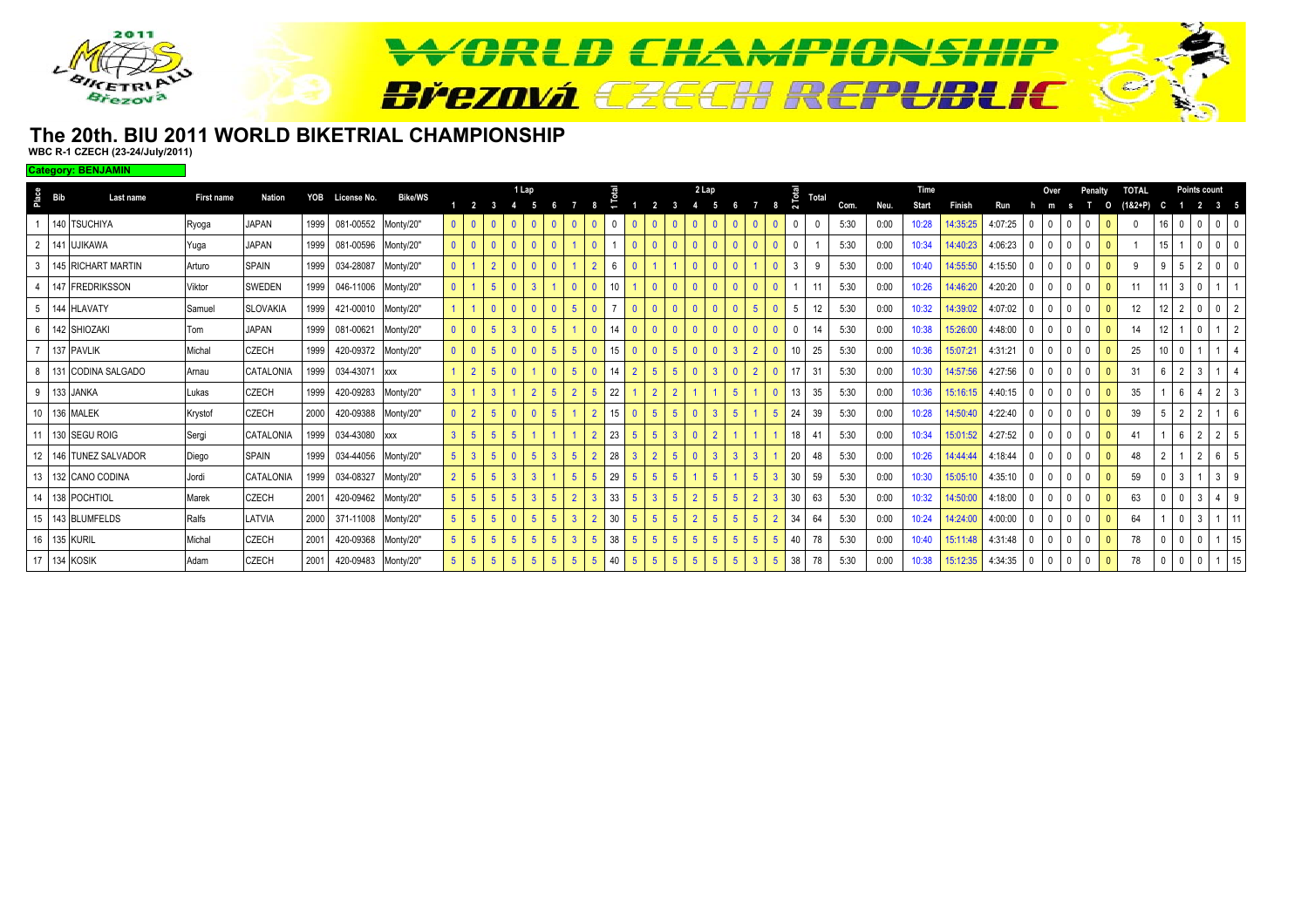

#### **The 20th. BIU 2011 WORLD BIKETRIAL CHAMPIONSHIPWBC R-1 CZECH (23-24/July/2011)**

**Category: BENJAMIN**

|                | $rac{6}{2}$ Bib | Last name               | <b>First name</b> | Nation          | YOB  | License No.         | <b>Bike/WS</b> |                |                 |                |                | 1 Lap          |                |                |                |                 |            |  | 2 Lap |                |   |              |    | Total |      |      | <b>Time</b>  |               |         |                         | Penalty |                         | <b>TOTAL</b> |  | Points count        |                |  |
|----------------|-----------------|-------------------------|-------------------|-----------------|------|---------------------|----------------|----------------|-----------------|----------------|----------------|----------------|----------------|----------------|----------------|-----------------|------------|--|-------|----------------|---|--------------|----|-------|------|------|--------------|---------------|---------|-------------------------|---------|-------------------------|--------------|--|---------------------|----------------|--|
|                |                 |                         |                   |                 |      |                     |                |                |                 |                |                |                |                |                |                |                 |            |  |       |                |   |              |    |       | Com. | Neu. | <b>Start</b> | <b>Finish</b> | Run     |                         |         |                         | $(182 + P)$  |  |                     | 3 <sub>5</sub> |  |
|                |                 | 140 TSUCHIYA            | Ryoga             | JAPAN           | 1999 | 081-00552 Monty/20" |                |                | $0$ $0$         | - 0            | $\mathbf{0}$   |                | $\overline{0}$ |                | $\overline{0}$ |                 |            |  |       |                |   | $\mathbf{0}$ | -0 |       | 5:30 | 0:00 | 10:28        | 14:35:25      | 4:07:25 | 0 <sup>1</sup>          |         | $\overline{0}$          | $\mathbf{0}$ |  | $\mathbf 0$         | 0 <sub>0</sub> |  |
|                |                 | 2 141 UJIKAWA           | Yuga              | <b>JAPAN</b>    | 1999 | 081-00596 Monty/20" |                | $\overline{0}$ | 0               | - 0            | $\mathbf{0}$   | - 0            |                |                | $\mathbf{0}$   |                 |            |  |       |                |   | $\mathbf{0}$ | -0 |       | 5:30 | 0:00 | 10:34        | 14:40:23      | 4:06:23 | 0 <sup>1</sup>          |         | - 0                     |              |  |                     | $\mathbf{0}$   |  |
| 3              |                 | 145 RICHART MARTIN      | Arturo            | <b>SPAIN</b>    | 1999 | 034-28087           | Monty/20"      | $\Omega$       |                 | $\overline{2}$ | $\mathbf{0}$   |                |                |                | $\overline{2}$ | 6               |            |  |       |                |   |              | -3 | q     | 5:30 | 0:00 | 10:40        | 14:55:50      | 4:15:50 | 0 <sup>1</sup>          |         |                         | 9            |  |                     |                |  |
| $\overline{4}$ |                 | 147 FREDRIKSSON         | Viktor            | <b>SWEDEN</b>   | 1999 | 046-11006 Monty/20" |                | $\mathbf{0}$   |                 | 5 <sup>5</sup> | $\mathbf{0}$   | $\overline{3}$ |                |                | $\mathbf{0}$   | 10              |            |  |       |                |   | $\mathbf{0}$ |    | 11    | 5:30 | 0:00 | 10:26        | 14:46:20      | 4:20:20 | 0 <sup>1</sup>          |         | - 0                     | 11           |  |                     |                |  |
|                |                 | 5 144 HLAVATY           | Samuel            | <b>SLOVAKIA</b> | 1999 | 421-00010 Monty/20" |                |                |                 |                |                |                |                | 5              | $\mathbf{0}$   |                 |            |  |       |                |   |              | 5  | 12    | 5:30 | 0:00 | 10:32        | 14:39:02      | 4:07:02 | 0 <sup>1</sup>          |         |                         | 12           |  |                     |                |  |
|                |                 | 6 142 SHIOZAKI          | Tom               | <b>JAPAN</b>    | 1999 | 081-00621           | Monty/20"      | $\Omega$       |                 | 5              | $\overline{3}$ |                | $\overline{5}$ |                | $\mathbf{0}$   | 14              |            |  |       |                |   |              |    | 14    | 5:30 | 0:00 | 10:38        | 15:26:00      | 4:48:00 | 0 <sup>1</sup>          |         |                         | 14           |  |                     |                |  |
|                |                 | 137 PAVLIK              | Michal            | CZECH           | 1999 | 420-09372 Monty/20" |                |                |                 | -5             |                |                | 5              | -5             | $\Omega$       | 15              |            |  |       |                |   |              |    | 25    | 5:30 | 0:00 | 10:36        | 15:07:21      | 4:31:21 | $0-1$<br>$\overline{0}$ |         |                         | 25           |  |                     |                |  |
|                |                 | 8 131 CODINA SALGADO    | Arnau             | CATALONIA       | 1999 | 034-43071           | <b>XXX</b>     |                | $\overline{2}$  |                |                |                | $\overline{0}$ | -5             | $\mathbf{0}$   | 14              |            |  |       |                |   | $\Omega$     | 17 | 31    | 5:30 | 0:00 | 10:30        | 14:57:56      | 4:27:56 | 0 <sup>1</sup>          |         |                         | 31           |  |                     |                |  |
|                |                 | 9 133 JANKA             | Lukas             | CZECH           | 1999 | 420-09283 Monty/20" |                | 3 <sup>7</sup> |                 | 3              |                | $\overline{2}$ | 5              |                |                | 22              |            |  |       |                |   |              | 13 | 35    | 5:30 | 0:00 | 10:36        | 15:16:15      | 4:40:15 | $\cdot$ 10 $\cdot$      |         |                         | 35           |  |                     |                |  |
|                |                 | 10 136 MALEK            | Krystof           | CZECH           | 2000 | 420-09388           | Monty/20"      |                |                 |                |                |                | 5              |                |                |                 |            |  |       |                |   |              | 24 | 39    | 5:30 | 0:00 | 10:28        | 14:50:40      | 4:22:40 | $\overline{0}$          |         |                         | 39           |  | $\overline{2}$      |                |  |
|                |                 | 11   130   SEGU ROIG    | Sergi             | CATALONIA       | 1999 | 034-43080 xxx       |                | 3 <sup>1</sup> |                 |                | $\overline{5}$ |                |                |                |                | 23              |            |  |       |                |   |              | 18 | 41    | 5:30 | 0:00 | 10:34        | 15:01:52      | 4:27:52 | 0 <sup>1</sup>          |         |                         | 41           |  | $\overline{2}$      | $\overline{2}$ |  |
|                |                 | 12   146 TUNEZ SALVADOR | Diego             | <b>SPAIN</b>    | 1999 | 034-44056           | Monty/20"      |                |                 |                | $\mathbf{0}$   | -5             | $\overline{3}$ |                |                | 28              |            |  |       |                |   |              | 20 | 48    | 5:30 | 0:00 | 10:26        | 14:44:44      | 4:18:44 | 0 <sup>1</sup>          |         | $\Omega$                | 48           |  | $\overline{2}$      | 6              |  |
|                |                 | 13 132 CANO CODINA      | Jordi             | CATALONIA       | 1999 | 034-08327           | Monty/20"      |                | $5\overline{5}$ | -5             | $\mathbf{3}$   | -3             |                | 5              | 5 <sup>5</sup> | 29              |            |  |       | 5 <sup>1</sup> |   |              | 30 | 59    | 5:30 | 0:00 | 10:30        | 15:05:10      | 4:35:10 | 0 <sup>1</sup>          |         | $\Omega$                | 59           |  |                     | 3 <sup>1</sup> |  |
|                |                 | 14 138 POCHTIOL         | Marek             | CZECH           | 2001 | 420-09462 Monty/20" |                |                | $5 \mid 5$      | -5             | 5 <sup>5</sup> | -3             | 5 <sup>5</sup> | $\overline{2}$ |                | 33              |            |  |       |                |   |              | 30 | 63    | 5:30 | 0:00 | 10:32        | 14:50:00      | 4:18:00 | 0 <sup>1</sup>          |         | $\Omega$                | 63           |  | 3<br>$\overline{4}$ |                |  |
|                |                 | 15 143 BLUMFELDS        | Ralfs             | LATVIA          | 2000 | 371-11008 Monty/20" |                |                | $5 \mid 5$      | 5 <sup>5</sup> | $\mathbf{0}$   | $5^{\circ}$    | $5^{\circ}$    |                |                | 30 <sup>°</sup> |            |  |       |                | 5 |              | 34 | 64    | 5:30 | 0:00 | 10:24        | 14:24:00      | 4:00:00 | 0 <sup>1</sup>          |         | $\overline{\mathbf{0}}$ | 64           |  | 3                   |                |  |
|                |                 | 16 135 KURIL            | Michal            | CZECH           | 2001 | 420-09368 Monty/20" |                |                | $5 \mid 5$      | -5             | 5 <sup>5</sup> | 5              | $5\phantom{1}$ |                |                | 38              |            |  |       |                |   |              | 40 | 78    | 5:30 | 0:00 | 10:40        | 15:11:48      | 4:31:48 | $0$ 0                   |         | $\overline{0}$          | 78           |  |                     |                |  |
|                |                 | 17 134 KOSIK            | Adam              | CZECH           | 2001 | 420-09483 Monty/20" |                |                | $5 \mid 5$      | 5 <sup>1</sup> | 5 <sup>5</sup> | $-5$           | $-5$           | -5             | 5 <sup>5</sup> | 40              | $\sqrt{5}$ |  |       |                |   |              | 38 | 78    | 5:30 | 0:00 | 10:38        | 15:12:35      | 4:34:35 | 0 <sub>0</sub>          |         | $\overline{0}$          | 78           |  |                     |                |  |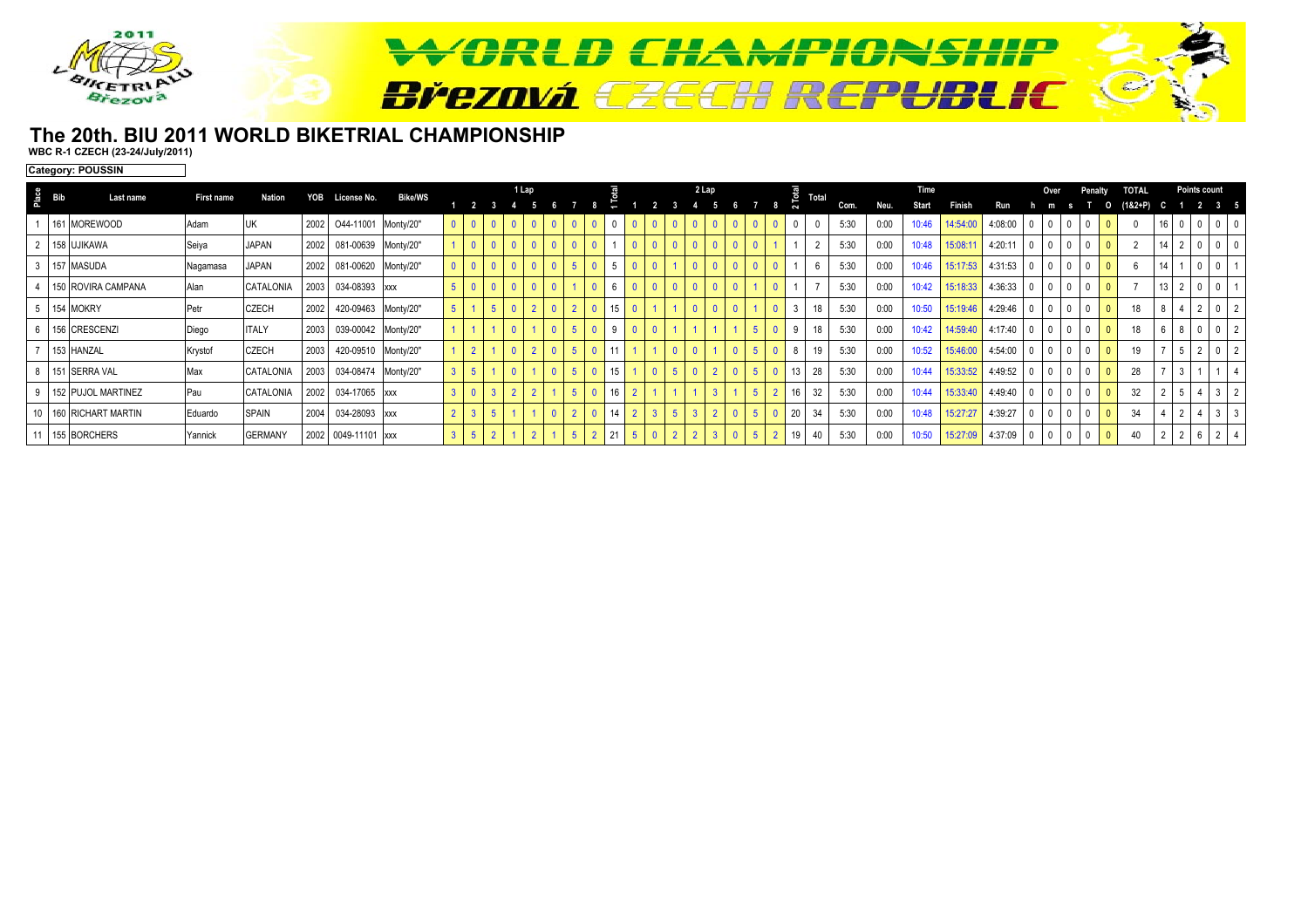

#### **The 20th. BIU 2011 WORLD BIKETRIAL CHAMPIONSHIPWBC R-1 CZECH (23-24/July/2011)**

**Category: POUSSIN**

| $rac{e}{\sqrt{2}}$ Bib | Last name             | First name | Nation         | YOB  | License No.              | <b>Bike/WS</b> |  |                | 1 Lap |  |    |  | 2 Lap |    | $\frac{\overline{B}}{C}$ Total |    |      |      | Time         |          |         |                 |              | Penaltv        | <b>TOTAL</b> |                     | Points count   |                |                |
|------------------------|-----------------------|------------|----------------|------|--------------------------|----------------|--|----------------|-------|--|----|--|-------|----|--------------------------------|----|------|------|--------------|----------|---------|-----------------|--------------|----------------|--------------|---------------------|----------------|----------------|----------------|
|                        |                       |            |                |      |                          |                |  |                |       |  |    |  |       |    |                                |    | Com. | Neu. | <b>Start</b> | Finish   |         |                 |              |                | $(182 + P)$  |                     |                |                |                |
|                        | 161 MOREWOOD          | Adam       | IJК            |      | 2002 044-11001 Monty/20" |                |  |                |       |  |    |  |       |    |                                |    | 5:30 | 0:00 | 10:46        | 14:54:00 | 4:08:00 |                 |              |                |              | U                   |                |                |                |
|                        | 2 158 UJIKAWA         | Seiya      | <b>JAPAN</b>   |      | 2002 081-00639 Monty/20" |                |  |                |       |  |    |  |       |    |                                |    | 5:30 | 0:00 | 10:48        | 15:08:11 | 4:20:11 | 0               | $\Omega$     |                |              |                     |                | $\mathbf 0$    |                |
|                        | 3 157 MASUDA          | Nagamasa   | <b>JAPAN</b>   |      | 2002 081-00620 Monty/20" |                |  |                |       |  |    |  |       |    |                                |    | 5:30 | 0:00 | 10:46        | 15:17:53 | 4:31:53 | 0               | $\mathbf{0}$ | $\mathbf{0}$   |              |                     | $\overline{0}$ |                |                |
|                        | 150 ROVIRA CAMPANA    | Alan       | CATALONIA      |      | 2003 034-08393 xxx       |                |  |                |       |  |    |  |       |    |                                |    | 5:30 | 0:00 | 10:42        | 15:18:33 | 4:36:33 | $\overline{0}$  | $\mathbf{0}$ |                |              | $13 \mid 2$         | $\mathbf{0}$   | $\mathbf{0}$   |                |
|                        | 5 154 MOKRY           | Petr       | <b>CZECH</b>   | 2002 | 420-09463 Monty/20"      |                |  |                |       |  |    |  |       |    |                                | 18 | 5:30 | 0:00 | 10:50        | 15:19:46 | 4:29:46 | $\overline{0}$  | $\mathbf{0}$ | $\overline{0}$ | 18           | $\overline{4}$<br>8 | $2 \quad 0$    |                | $\vert$ 2      |
|                        | 6 156 CRESCENZI       | Diego      | <b>ITALY</b>   |      | 2003 039-00042 Monty/20" |                |  |                |       |  |    |  |       |    |                                | 18 | 5:30 | 0:00 | 10:42        | 14:59:40 | 4:17:40 | $\mathbf{0}$    | $\mathbf{0}$ | $\overline{0}$ | 18           | 8                   | $\overline{0}$ | $\mathbf{0}$   | $\vert$ 2      |
|                        | 153 HANZAL            | Krystof    | <b>CZECH</b>   |      | 2003 420-09510 Monty/20" |                |  |                |       |  |    |  |       |    |                                | 19 | 5:30 | 0:00 | 10:52        | 15:46:00 | 4:54:00 | $\mathbf{0}$    | $\Omega$     | $\overline{0}$ | 19           |                     | $\overline{2}$ | $\mathbf{0}$   | $\vert$ 2      |
|                        | 8 151 SERRA VAL       | Max        | CATALONIA      |      | 2003 034-08474 Monty/20" |                |  |                |       |  | 15 |  |       |    |                                | 28 | 5:30 | 0:00 | 10:44        | 15:33:52 | 4:49:52 | $\vert 0 \vert$ | $\mathbf{0}$ | $\mathbf{0}$   | 28           |                     |                |                |                |
|                        | 9 152 PUJOL MARTINEZ  | Pau        | CATALONIA      |      | 2002 034-17065 xxx       |                |  | $\overline{2}$ |       |  |    |  |       |    |                                | 32 | 5:30 | 0:00 | 10:44        | 15:33:40 | 4:49:40 | l o             | $\mathbf{0}$ | $\Omega$       | 32           |                     | $\overline{4}$ | 3 <sup>1</sup> | $\overline{2}$ |
|                        | 10 160 RICHART MARTIN | Eduardo    | <b>SPAIN</b>   |      | 2004 034-28093 xxx       |                |  |                |       |  | 14 |  |       | -5 | 20 <sup>1</sup>                | 34 | 5:30 | 0:00 | 10:48        | 15:27:27 | 4:39:27 | l 0             | $\Omega$     | $\mathbf{0}$   | 34           |                     | $\overline{4}$ | $3 \mid 3$     |                |
|                        | 11 155 BORCHERS       | Yannick    | <b>GERMANY</b> |      | 2002 0049-11101 xxx      |                |  |                |       |  |    |  |       |    |                                |    | 5:30 | 0:00 | 10:50        | 15:27:09 | 4:37:09 | 0               | $\Omega$     | $\overline{0}$ | 40           |                     | 6              | 2              |                |